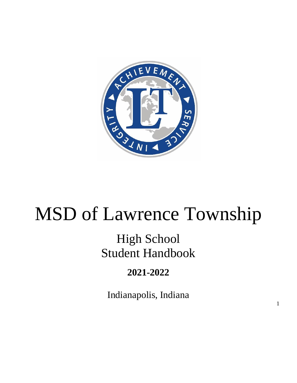

# MSD of Lawrence Township

# High School Student Handbook

# **2021-2022**

Indianapolis, Indiana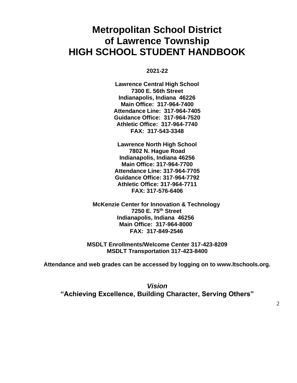# **Metropolitan School District of Lawrence Township HIGH SCHOOL STUDENT HANDBOOK**

**2021-22**

**Lawrence Central High School 7300 E. 56th Street Indianapolis, Indiana 46226 Main Office: 317-964-7400 Attendance Line: 317-964-7405 Guidance Office: 317-964-7520 Athletic Office: 317-964-7740 FAX: 317-543-3348**

**Lawrence North High School 7802 N. Hague Road Indianapolis, Indiana 46256 Main Office: 317-964-7700 Attendance Line: 317-964-7705 Guidance Office: 317-964-7792 Athletic Office: 317-964-7711 FAX: 317-576-6406**

 **McKenzie Center for Innovation & Technology 7250 E. 75th Street Indianapolis, Indiana 46256 Main Office: 317-964-8000 FAX: 317-849-2546**

**MSDLT Enrollments/Welcome Center 317-423-8209 MSDLT Transportation 317-423-8400**

**Attendance and web grades can be accessed by logging on to www.ltschools.org.**

*Vision* **"Achieving Excellence, Building Character, Serving Others"**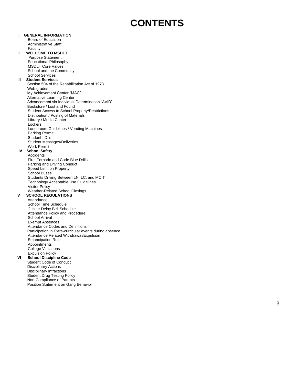# **CONTENTS**

#### Board of Education Administrative Staff Faculty **II WELCOME TO MSDLT** Purpose Statement Educational Philosophy MSDLT Core Values School and the Community School Services **III Student Services** Section 504 of the Rehabilitation Act of 1973 Web grades My Achievement Center "MAC" Alternative Learning Center Advancement via Individual Determination "AVID" Bookstore / Lost and Found Student Access to School Property/Restrictions Distribution / Posting of Materials Library / Media Center **Lockers** Lunchroom Guidelines / Vending Machines Parking Permit Student I.D.'s Student Messages/Deliveries Work Permit **IV School Safety Accidents** Fire, Tornado and Code Blue Drills Parking and Driving Conduct Speed Limit on Property School Buses Students Driving Between LN, LC, and MCIT Technology Acceptable Use Guidelines Visitor Policy Weather -Related School Closings **V SCHOOL REGULATIONS**  Attendance School Time Schedule 2 Hour Delay Bell Schedule Attendance Policy and Procedure School Arrival Exempt Absences Attendance Codes and Definitions Participation in Extra -curricular events during absence Attendance Related Withdrawal/Expulsion Emancipation Rule Appointments College Visitations Expulsion Policy

#### **VI School Discipline Code**

**I. GENERAL INFORMATION**

Student Code of Conduct Disciplinary Actions Disciplinary Infractions Student Drug Testing Policy Non -Compliance of Parents Position Statement on Gang Behavior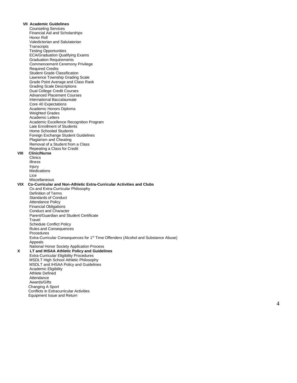**VII Academic Guidelines** Counseling Services Financial Aid and Scholarships Honor Roll Valedictorian and Salutatorian **Transcripts**  Testing Opportunities ECA/Graduation Qualifying Exams Graduation Requirements Commencement Ceremony Privilege Required Credits Student Grade Classification Lawrence Township Grading Scale Grade Point Average and Class Rank Grading Scale Descriptions Dual College Credit Courses Advanced Placement Courses International Baccalaureate Core 40 Expectations Academic Honors Diploma Weighted Grades Academic Letters Academic Excellence Recognition Program Late Enrollment of Students Home Schooled Students Foreign Exchange Student Guidelines Plagiarism and Cheating Removal of a Student from a Class Repeating a Class for Credit<br>VIII Clinic/Nurse **Clinic/Nurse** Clinics Illness Injury **Medications**  Lice Miscellaneous **VIX Co -Curricular and Non -Athletic Extra -Curricular Activities and Clubs** Co and Extra -Curricular Philosophy Definition of Terms Standards of Conduct Attendance Policy Financial Obligations Conduct and Character Parent/Guardian and Student Certificate **Travel**  Schedule Conflict Policy Rules and Consequences Procedures Extra-Curricular Consequences for 1<sup>st</sup> Time Offenders (Alcohol and Substance Abuse) Appeals National Honor Society Application Process **X LT and IHSAA Athletic Policy and Guidelines** Extra -Curricular Eligibility Procedures MSDLT High School Athletic Philosophy MSDLT and IHSAA Policy and Guidelines Academic Eligibility Athlete Defined Attendance Awards/Gifts Changing A Sport Conflicts in Extracurricular Activities Equipment Issue and Return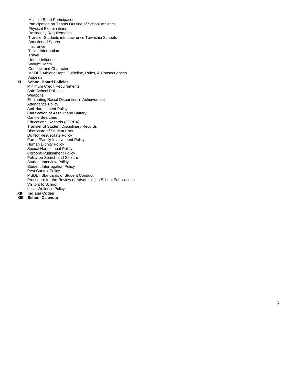Multiple Sport Participation Participation on Teams Outside of School Athletics Physical Examinations Residency Requirements Transfer Students into Lawrence Township Schools Sanctioned Sports Insurance Ticket Information Travel Undue Influence Weight Room Conduct and Character MSDLT Athletic Dept, Guideline, Rules, & Consequences Appeals<br>**XI** School B **School Board Policies** Minimum Credit Requirements Safe School Policies Weapons Eliminating Racial Disparities in Achievement Attendance Policy Anti -Harassment Policy Clarification of Assault and Battery Canine Searches Educational Records (FERPA) Transfer of Student Disciplinary Records Disclosure of Student Lists Do Not Resuscitate Policy Parent/Family Involvement Policy Human Dignity Policy Sexual Harassment Policy Corporal Punishment Policy Policy on Search and Seizure Student Interview Policy Student Interrogation Policy Pest Control Policy MSDLT Standards of Student Conduct Procedure for the Review of Advertising in School Publications Visitors to School Local Wellness Policy<br>XII Indiana Codes **XII Indiana Codes**

**XIII School Calendar**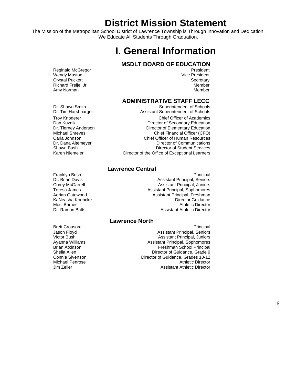# **District Mission Statement**

The Mission of the Metropolitan School District of Lawrence Township is Through Innovation and Dedication, We Educate All Students Through Graduation.

# **I. General Information**

### **MSDLT BOARD OF EDUCATION**

Reginald McGregor **President President** Wendy Muston **Vice President** Crystal Puckett **Secretary** Secretary **Secretary** Secretary Richard Freije, Jr. Member Amy Norman Member

#### **ADMINISTRATIVE STAFF LECC**

Dr. Shawn Smith Superintendent of Schools<br>
Dr. Tim Harshbarger Superintendent of Schools<br>
Superintendent of Schools Assistant Superintendent of Schools

> Chief Officer of Academics Director of Secondary Education Director of Elementary Education Chief Financial Officer (CFO) Chief Officer of Human Resources Director of Communications Director of Student Services Director of the Office of Exceptional Learners

#### **Lawrence Central**

Principal Assistant Principal, Seniors Assistant Principal, Juniors Assistant Principal, Sophomores Assistant Principal, Freshman Director Guidance Athletic Director Assistant Athletic Director

#### **Lawrence North**

Brett Crousore **Principal** Jason Floyd Assistant Principal, Seniors Victor Bush Assistant Principal, Juniors Ayanna Williams **Assistant Principal, Sophomores**<br>Brian Atkinson **Assistant Principal**<br>Freshman School Principal Freshman School Principal Director of Guidance, Grade 9 Director of Guidance, Grades 10-12 Michael Penrose **Athletic Director** Athletic Director Jim Zeller Assistant Athletic Director

Troy Knoderer Dan Kuznik Dr. Tierney Anderson<br>Michael Shreves Carla Johnson Dr. Dana Altemeyer Shawn Bush Karen Niemeier

Franklyn Bush Dr. Brian Davis Corey McGarrell Teresa James Adrian Gatewood KaNeasha Koebcke Mosi Barnes Dr. Ramon Batts

Shelia Allen Connie Sivertson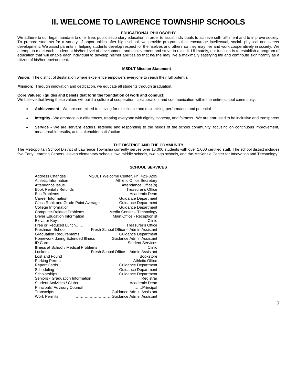# **II. WELCOME TO LAWRENCE TOWNSHIP SCHOOLS**

#### **EDUCATIONAL PHILOSOPHY**

We adhere to our legal mandate to offer free, public secondary education in order to assist individuals to achieve self-fulfillment and to improve society. To prepare students for a variety of opportunities after high school, we provide programs that encourage intellectual, social, physical and career development. We assist parents in helping students develop respect for themselves and others so they may live and work cooperatively in society. We attempt to meet each student at his/her level of development and achievement and strive to raise it. Ultimately, our function is to establish a program of education that will enable each individual to develop his/her abilities so that he/she may live a maximally satisfying life and contribute significantly as a citizen of his/her environment.

#### **MSDLT Mission Statement**

**Vision:** The district of destination where excellence empowers everyone to reach their full potential.

**Mission:** Through innovation and dedication, we educate all students through graduation.

#### **Core Values: (guides and beliefs that form the foundation of work and conduct)**

We believe that living these values will build a culture of cooperation, collaboration, and communication within the entire school community.

- **Achievement -** We are committed to striving for excellence and maximizing performance and potential
- **Integrity** We embrace our differences, treating everyone with dignity, honesty, and fairness. We are entrusted to be inclusive and transparent
- **Service -** We are servant leaders, listening and responding to the needs of the school community, focusing on continuous improvement, measureable results, and stakeholder satisfaction

#### **THE DISTRICT AND THE COMMUNITY**

The Metropolitan School District of Lawrence Township currently serves over 16,000 students with over 1,000 certified staff. The school district includes five Early Learning Centers, eleven elementary schools, two middle schools, two high schools, and the McKenzie Center for Innovation and Technology.

#### **SCHOOL SERVICES**

| Address Changes<br>Athletic Information<br>Attendance Issue | MSDLT Welcome Center, Ph: 423-8209<br><b>Athletic Office Secretary</b><br>Attendance Office(s) |
|-------------------------------------------------------------|------------------------------------------------------------------------------------------------|
| Book Rental / Refunds                                       | Treasurer's Office                                                                             |
| <b>Bus Problems</b>                                         | Academic Dean                                                                                  |
| Career Information                                          | Guidance Department                                                                            |
| Class Rank and Grade Point Average                          | <b>Guidance Department</b>                                                                     |
| College Information                                         | <b>Guidance Department</b>                                                                     |
| <b>Computer-Related Problems</b>                            | Media Center - Technology                                                                      |
| <b>Driver Education Information</b>                         | Main Office - Receptionist                                                                     |
| Elevator Key                                                | Clinic                                                                                         |
| Free or Reduced Lunch                                       | Treasurer's Office                                                                             |
| Freshman School                                             | Fresh School Office - Admin Assistant                                                          |
| <b>Graduation Requirements</b>                              | <b>Guidance Department</b>                                                                     |
| Homework during Extended Illness                            | Guidance Admin Assistant                                                                       |
| ID Card                                                     | <b>Student Services</b>                                                                        |
| Illness at School / Medical Problems                        | Clinic                                                                                         |
| Lockers                                                     | Fresh School Office - Admin Assistant                                                          |
| Lost and Found                                              | <b>Bookstore</b>                                                                               |
| <b>Parking Permits</b>                                      | Athletic Office                                                                                |
| <b>Report Cards</b>                                         | <b>Guidance Department</b>                                                                     |
| Scheduling                                                  | Guidance Department                                                                            |
| Scholarships                                                | Guidance Department                                                                            |
| Seniors - Graduation Information                            | Registrar                                                                                      |
| Student Activities / Clubs                                  | Academic Dean                                                                                  |
| Principals' Advisory Council                                | Principal                                                                                      |
| Transcripts                                                 | Guidance Admin Assistant                                                                       |
| <b>Work Permits</b>                                         | Guidance Admin Assistant                                                                       |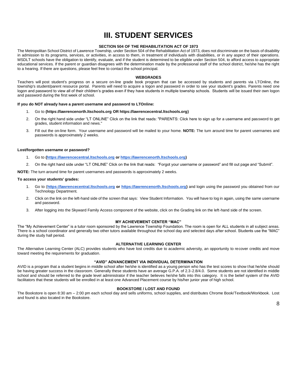# **III. STUDENT SERVICES**

#### **SECTION 504 OF THE REHABILITATION ACT OF 1973**

The Metropolitan School District of Lawrence Township, under Section 504 of the Rehabilitation Act of 1973, does not discriminate on the basis of disability in admission to its programs, services, or activities, in access to them, in treatment of individuals with disabilities, or in any aspect of their operations. MSDLT schools have the obligation to identify, evaluate, and if the student is determined to be eligible under Section 504, to afford access to appropriate educational services. If the parent or guardian disagrees with the determination made by the professional staff of the school district, he/she has the right to a hearing. If there are questions, please feel free to contact the school principal.

#### **WEBGRADES**

Teachers will post student's progress on a secure on-line grade book program that can be accessed by students and parents via LTOnline, the township's student/parent resource portal. Parents will need to acquire a logon and password in order to see your student's grades. Parents need one logon and password to view all of their children's grades even if they have students in multiple township schools. Students will be issued their own logon and password during the first week of school.

#### **If you do NOT already have a parent username and password to LTOnline:**

- 1. Go to **(https://lawrencenorth.ltschools.org OR https://lawrencecentral.ltschools.org)**
- 2. On the right hand side under "LT ONLINE" Click on the link that reads: "PARENTS: Click here to sign up for a username and password to get grades, student information and news."
- 3. Fill out the on-line form. Your username and password will be mailed to your home. **NOTE:** The turn around time for parent usernames and passwords is approximately 2 weeks.

#### **Lost/forgotten username or password?**

- 1. Go to **[\(https://lawrencecentral.ltschools.org](https://lawrencecentral.ltschools.org/) o[r https://lawrencenorth.ltschools.org\)](https://lawrencenorth.ltschools.org/)**
- 2. On the right hand side under "LT ONLINE" Click on the link that reads: "Forgot your username or password" and fill out page and "Submit".

**NOTE:** The turn around time for parent usernames and passwords is approximately 2 weeks.

#### **To access your students' grades:**

- 1. Go to (**[https://lawrencecentral.ltschools.org](https://lawrencecentral.ltschools.org/) or [https://lawrencenorth.ltschools.org\)](https://lawrencenorth.ltschools.org/)** and login using the password you obtained from our Technology Department.
- 2. Click on the link on the left-hand side of the screen that says: View Student Information. You will have to log in again, using the same username and password.
- 3. After logging into the Skyward Family Access component of the website, click on the Grading link on the left-hand side of the screen.

#### **MY ACHIEVEMENT CENTER "MAC"**

The "My Achievement Center" is a tutor room sponsored by the Lawrence Township Foundation. The room is open for ALL students in all subject areas. There is a school coordinator and generally two other tutors available throughout the school day and selected days after school. Students use the "MAC" during the study hall period.

#### **ALTERNATIVE LEARNING CENTER**

The Alternative Learning Center (ALC) provides students who have lost credits due to academic adversity, an opportunity to recover credits and move toward meeting the requirements for graduation.

#### **"AVID" ADVANCEMENT VIA INDIVIDUAL DETERMINATION**

AVID is a program that a student begins in middle school after he/she is identified as a young person who has the test scores to show that he/she should be having greater success in the classroom. Generally these students have an average G.P.A. of 2.3-2.8/4.0. Some students are not identified in middle school and should be referred to the grade level administrator if the teacher believes he/she falls into this category. It is the belief system of the AVID facilitators that these students will be enrolled in at least one Advanced Placement course by his/her junior year of high school.

#### **BOOKSTORE / LOST AND FOUND**

The Bookstore is open 8:30 am – 2:00 pm each school day and sells uniforms, school supplies, and distributes Chrome Book/Textbook/Workbook. Lost and found is also located in the Bookstore.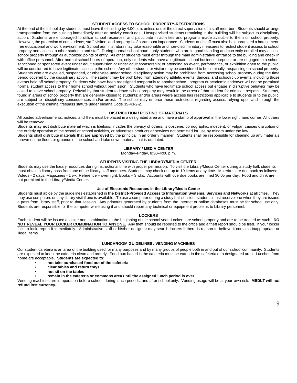#### **STUDENT ACCESS TO SCHOOL PROPERTY-RESTRICTIONS**

At the end of the school day students must leave the building by 4:00 p.m. unless under the direct supervision of a staff member. Students should arrange transportation from the building immediately after an activity concludes. Unsupervised students remaining in the building will be subject to disciplinary action. Students are encouraged to utilize school resources, and participate in activities and programs made available to them on school property. However, the protection of our students, staff, visitors and property is of paramount importance. Students and staff must also be guaranteed a harassmentfree educational and work environment. School administrators may take reasonable and non-discriminatory measures to restrict student access to school property and access to other students and staff. During normal school hours, only students who are in good standing and currently enrolled may access school property through all authorized points of entry. All other students must enter through the main administrative entrance to the building and check in with office personnel. After normal school hours of operation, only students who have a legitimate school business purpose; or are engaged in a school sanctioned or sponsored event under adult supervision or under adult sponsorship; or attending an event, performance, or exhibition open to the public; will be considered to have legitimate access to the school. Any other student or visitor may be considered to be criminally trespassing on school property. Students who are expelled, suspended, or otherwise under school disciplinary action may be prohibited from accessing school property during the time period covered by the disciplinary action. The student may be prohibited from attending athletic events, dances, and school/club events, including those events held off school property. Students who have been reassigned temporarily to another school, program or academic endeavor will not be permitted normal student access to their home school without permission. Students who have legitimate school access but engage in disruptive behavior may be asked to leave school property. Refusal by that student to leave school property may result in the arrest of that student for criminal trespass. Students, found in areas of school property that are generally closed to students; and/or areas where access has restrictions applicable to students or to the public, are subject to disciplinary consequences and/or arrest. The school may enforce these restrictions regarding access, relying upon and through the execution of the criminal trespass statute under Indiana Code 35-43-2-2.

#### **DISTRIBUTION / POSTING OF MATERIALS**

All posted advertisements, notices, and fliers must be placed in a designated area and have a stamp of **approval** in the lower right hand corner. All others will be removed.

Students **may not** distribute material which is libelous, invades the privacy of others, is obscene, pornographic, indecent, or vulgar, causes disruption of the orderly operation of the school or school activities, or advertises products or services not permitted for use by minors under the law. Students shall distribute materials that are **approved** by the principal in an orderly manner. Students shall be responsible for cleaning up any materials

thrown on the floors or grounds of the school and take down material that is outdated.

#### **LIBRARY / MEDIA CENTER**

Monday–Friday, 8:30–4:00 p.m.

#### **STUDENTS VISITING THE LIBRARY/MEDIA CENTER**

Students may use the library resources during instructional time with proper permission. To visit the Library/Media Center during a study hall, students must obtain a library pass from one of the library staff members. Students may check out up to 10 items at any time. Materials are due back as follows: Videos - 2 days; Magazines - 1 wk; Reference – overnight; Books – 3 wks. Accounts with overdue books are fined \$0.05 per day. Food and drink are not permitted in the Library/Media Center.

#### **Use of Electronic Resources in the Library/Media Center**

Students must abide by the guidelines established in **the District-Provided Access to Information Systems, Services and Networks** at all times. They may use computers on any library visit if one is available. To use a computer during a study hall session, students must reserve one when they are issued a pass from library staff, prior to that session. Any printouts generated by students from the Internet or online databases must be for school use only. Students are responsible for the computer while using it and should report any technical or equipment problems to Library personnel.

#### **LOCKERS**

Each student will be issued a locker and combination at the beginning of the school year. Lockers are school property and are to be treated as such. **DO NOT REVEAL YOUR LOCKER COMBINATION TO ANYONE.** Any theft should be reported to the office and a theft report should be filed. If your locker fails to lock, report it immediately. Administrative staff or his/her designee may search lockers if there is reason to believe it contains inappropriate or illegal items.

#### **LUNCHROOM GUIDELINES / VENDING MACHINES**

 Our student cafeteria is an area of the building used for many purposes and by many groups of people both in and out of our school community. Students are expected to keep the cafeteria clean and orderly. Food purchased in the cafeteria must be eaten in the cafeteria or a designated area. Lunches from home are acceptable. **Students are expected to:** 

- **not take purchased food out of the cafeteria**
- **clear tables and return trays**
- **not sit on the tables**
- **remain in the cafeteria or commons area until the assigned lunch period is over**

Vending machines are in operation before school, during lunch periods, and after school only. Vending usage will be at your own risk. **MSDLT will not refund lost currency.**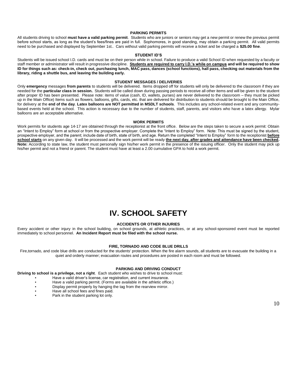#### **PARKING PERMITS**

All students driving to school **must have a valid parking permit**. Students who are juniors or seniors may get a new permit or renew the previous permit before school starts, as long as the student's fees/fines are paid in full. Sophomores, in good standing, may obtain a parking permit. All valid permits need to be purchased and displayed by September 1st.. Cars without valid parking permits will receive a ticket and be charged a **\$25.00 fine**.

#### **STUDENT ID'S**

Students will be issued school I.D. cards and must be on their person while in school. Failure to produce a valid School ID when requested by a faculty or staff member or administrator will result in progressive discipline. **Students are required to carry I.D.'s while on campus and will be required to show ID for things such as: check-in, check out, purchasing lunch, MAC pass, dances (school functions), hall pass, checking out materials from the library, riding a shuttle bus, and leaving the building early.**

#### **STUDENT MESSAGES / DELIVERIES**

Only **emergency** messages **from parents** to students will be delivered. Items dropped off for students will only be delivered to the classroom if they are needed for the **particular class in session.** Students will be called down during passing periods to receive all other items and will be given to the student after proper ID has been presented. Please note: items of value (cash, ID, wallets, purses) are never delivered to the classroom – they must be picked up in the Main Office) Items such as flowers, balloons, gifts, cards, etc. that are delivered for distribution to students should be brought to the Main Office, for delivery at the **end of the day**. **Latex balloons are NOT permitted in MSDLT schools**. This includes any school-related event and any communitybased events held at the school. This action is necessary due to the number of students, staff, parents, and visitors who have a latex allergy. Mylar balloons are an acceptable alternative.

#### **WORK PERMITS**

Work permits for students age 14-17 are obtained through the receptionist at the front office. Below are the steps taken to secure a work permit: Obtain an "Intent to Employ" form at school or from the prospective employer. Complete the "Intent to Employ" form. Note: This must be signed by the student, prospective employer, and the parent; include date of birth, state of birth, and age. Return the completed "Intent to Employ" form to the receptionist **before**  school starts on any given day. It will be processed and the work permit will be ready the next day, after grades and attendance have been checked. Note: According to state law, the student must personally sign his/her work permit in the presence of the issuing officer. Only the student may pick up his/her permit and not a friend or parent. The student must have at least a 2.00 cumulative GPA to hold a work permit.

### **IV. SCHOOL SAFETY**

#### **ACCIDENTS OR OTHER INJURIES**

Every accident or other injury in the school building, on school grounds, at athletic practices, or at any school-sponsored event must be reported immediately to school personnel. **An Incident Report must be filed with the school nurse.**

#### **FIRE, TORNADO AND CODE BLUE DRILLS**

Fire,tornado, and code blue drills are conducted for the students' protection. When the fire alarm sounds, all students are to evacuate the building in a quiet and orderly manner; evacuation routes and procedures are posted in each room and must be followed.

#### **PARKING AND DRIVING CONDUCT**

**Driving to school is a privilege, not a right**. Each student who wishes to drive to school must:

- Have a valid driver's license, car registration, and current insurance.
- Have a valid parking permit. (Forms are available in the athletic office.)
- Display permit properly by hanging the tag from the rearview mirror.
- Have all school fees and fines paid.
- Park in the student parking lot only.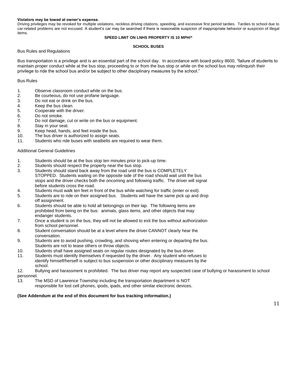#### **Violators may be towed at owner's expense.**

Driving privileges may be revoked for multiple violations, reckless driving citations, speeding, and excessive first period tardies. Tardies to school due to car-related problems are not excused. A student's car may be searched if there is reasonable suspicion of inappropriate behavior or suspicion of illegal items.

#### **SPEED LIMIT ON LNHS PROPERTY IS 10 MPH!\***

#### **SCHOOL BUSES**

#### Bus Rules and Regulations

Bus transportation is a privilege and is an essential part of the school day. In accordance with board policy 8600, "failure of students to maintain proper conduct while at the bus stop, proceeding to or from the bus stop or while on the school bus may relinquish their privilege to ride the school bus and/or be subject to other disciplinary measures by the school."

#### Bus Rules

- 1. Observe classroom conduct while on the bus.
- 2. Be courteous, do not use profane language.
- 3. Do not eat or drink on the bus.
- 4. Keep the bus clean.
- 5. Cooperate with the driver.
- 6. Do not smoke.
- 7. Do not damage, cut or write on the bus or equipment.
- 8. Stay in your seat.
- 9. Keep head, hands, and feet inside the bus.<br>10. The bus driver is authorized to assign seats
- The bus driver is authorized to assign seats.
- 11. Students who ride buses with seatbelts are required to wear them.

#### Additional General Guidelines

- 1. Students should be at the bus stop ten minutes prior to pick-up time.
- 2. Students should respect the property near the bus stop.
- 3. Students should stand back away from the road until the bus is COMPLETELY STOPPED. Students waiting on the opposite side of the road should wait until the bus stops and the driver checks both the oncoming and following traffic. The driver will signal before students cross the road.
- 4. Students must walk ten feet in front of the bus while watching for traffic (enter or exit). 5. Students are to ride on their assigned bus. Students will have the same pick up and drop off assignment.
- 6. Students should be able to hold all belongings on their lap. The following items are prohibited from being on the bus: animals, glass items, and other objects that may endanger students.
- 7. Once a student is on the bus, they will not be allowed to exit the bus without authorization from school personnel.
- 8. Student conversation should be at a level where the driver CANNOT clearly hear the conversation.
- 9. Students are to avoid pushing, crowding, and shoving when entering or departing the bus. Students are not to tease others or throw objects.
- 10. Students shall have assigned seats on regular routes designated by the bus driver.
- 11. Students must identify themselves if requested by the driver. Any student who refuses to identify himself/herself is subject to bus suspension or other disciplinary measures by the school.

12. Bullying and harassment is prohibited. The bus driver may report any suspected case of bullying or harassment to school personnel.

13. The MSD of Lawrence Township including the transportation department is NOT responsible for lost cell phones, ipods, ipads, and other similar electronic devices.

#### **(See Addendum at the end of this document for bus tracking information.)**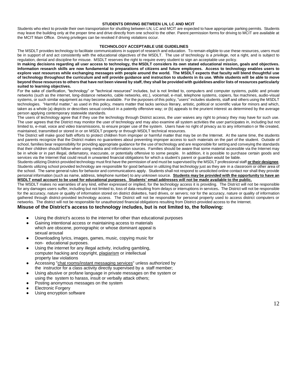#### **STUDENTS DRIVING BETWEEN LN, LC AND MCIT**

Students who elect to provide their own transportation for shuttling between LN, LC and MCIT are expected to have appropriate parking permits. Students may leave the building only at the proper time and drive directly from one school to the other. Parent permission forms for driving to MCIT are available at the MCIT Main Office. Driving privileges can be revoked if driving violations occur.

#### **TECHNOLOGY ACCEPTABLE USE GUIDELINES**

The MSDLT provides technology to facilitate communications in support of research and education. To remain eligible to use these resources, users must be in support of and act consistently with the educational objectives of the MSDLT. The use of technology is *a privilege,* not a right, and is subject to regulation, denial and discipline for misuse. MSDLT reserves the right to require every student to sign an acceptable use policy.

**In making decisions regarding all user access to technology, the MSDLT considers its own stated educational mission, goals and objectives. Information research skills are now fundamental to preparations of citizens and future employees. Access to technology enables users to explore vast resources while exchanging messages with people around the world. The MSDLT expects that faculty will blend thoughtful use of technology throughout the curriculum and will provide guidance and instruction to students in its use. While students will be able to move beyond those resources to others that have not been viewed by staff, they shall be provided with guidelines and/or lists of resources particularly suited to learning objectives.**

For the sake of clarification, "technology" or "technical resources" includes, but is not limited to, computers and computer systems, public and private networks (such as the internet, long-distance networks, cable networks, etc.), voicemail, e-mail, telephone systems, copiers, fax machines, audio-visual systems, or such similar equipment as may become available. For the purposes of this policy, "users" includes students, staff and others using the MSDLT technologies. "Harmful matter," as used in this policy, means matter that lacks serious literary, artistic, political or scientific value for minors and which, taken as a whole (a) depicts or describes sexual conduct in a patently offensive way; or (b) appeals to the prurient interest as determined by the average person applying contemporary statewide standards.

The users of technology agree that if they use the technology through District access, the user waives any right to privacy they may have for such use. The user agrees that the District may monitor the user of technology and may also examine all system activities the user participates in, including but not limited to, e-mail, voice and video transmissions, to ensure proper use of the system. Users have no right of privacy as to any information or file created, maintained, transmitted or stored in or on MSDLT property or through MSDLT technical resources.

The District will make good faith efforts to protect children from improper or harmful matter that may be on the Internet. At the same time, the students and parents recognize that the District makes no guarantees about preventing improper access to such materials on the part of the student. Outside of school, families bear responsibility for providing appropriate guidance for the use of technology and are responsible for setting and conveying the standards that their children should follow when using media and information sources. Families should be aware that some material accessible via the Internet may be in whole or in part illegal, defamatory, inaccurate, or potentially offensive to some people. In addition, it is possible to purchase certain goods and services via the Internet that could result in unwanted financial obligations for which a student's parent or guardian would be liable.

Students utilizing District-provided technology must first have the permission of and must be supervised by the MSDLT professional staff **or their designee**. Students utilizing school provided technology are responsible for good behavior in utilizing that technology just as they are in a classroom or other area of the school. The same general rules for behavior and communications apply. Students shall not respond to unsolicited online contact nor shall they provide personal information (such as name, address, telephone number) to any unknown source. **Students may be provided with the opportunity to have an MSDLT email account to be used for educational purposes. Students' email addresses will not be made available to the public.** 

The MSDLT makes no warranties of any kind, either expressed or implied, for the technology access it is providing. The District will not be responsible for any damages users suffer, including but not limited to, loss of data resulting from delays or interruptions in services**.** The District will not be responsible for the accuracy, nature or quality of information stored on district diskettes, hard drives, or servers; nor for the accuracy, nature or quality of information gathered through district-provided technology access. The District will not be responsible for personal property used to access district computers or networks. The district will not be responsible for unauthorized financial obligations resulting from District-provided access to the Internet.

#### **Misuse of the District's access to technology includes, but is not limited to, the following:**

- Using the district's access to the internet for other than educational purposes
- Gaining intentional access or maintaining access to materials which are obscene, pornographic or whose dominant appeal is sexual arousal
- Downloading lyrics, images, games, music, copying music for non- educational purposes.
- Using the internet for any illegal activity, including gambling, computer hacking and copyright, plagiarism or intellectual property law violations
- Accessing "chat rooms/instant messaging services" unless authorized by the instructor for a class activity directly supervised by a staff member;
- Using abusive or profane language in private messages on the system or using the system to harass, insult or verbally attack others;
- Posting anonymous messages on the system
- **Electronic Forgery**
- Using encryption software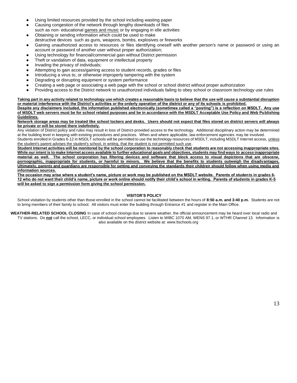- Using limited resources provided by the school including wasting paper
- Causing congestion of the network through lengthy downloads of files such as non- educational games and music or by engaging in idle activities
- Obtaining or sending information which could be used to make destructive devices such as guns, weapons, bombs, explosives or fireworks
- Gaining unauthorized access to resources or files identifying oneself with another person's name or password or using an account or password of another user without proper authorization;
- Using technology for financial/commercial gain without District permission
- Theft or vandalism of data, equipment or intellectual property
- Invading the privacy of individuals;
- Attempting to gain access/gaining access to student records, grades or files
- Introducing a virus to, or otherwise improperly tampering with the system
- Degrading or disrupting equipment or system performance
- Creating a web page or associating a web page with the school or school district without proper authorization
- Providing access to the District network to unauthorized individuals failing to obey school or classroom technology use rules

**Taking part in any activity related to technology use which creates a reasonable basis to believe that the use will cause a substantial disruption or material interference with the District's activities or the orderly operation of the district or any of its schools is prohibited. Despite any disclaimers included, the information published electronically (sometimes called a "posting") is a reflection on MSDLT. Any use** 

**of MSDLT web servers must be for school related purposes and be in accordance with the MSDLT Acceptable Use Policy and Web Publishing Guidelines.** 

**Network storage areas may be treated like school lockers and desks. Users should not expect that files stored on district servers will always be private or will be stored there indefinitely.**

Any violation of District policy and rules may result in loss of District-provided access to the technology. Additional disciplinary action may be determined at the building level in keeping with existing procedures and practices. When and where applicable, law enforcement agencies may be involved.

Students enrolled in Grades 6-12 in MSDLT schools will be permitted to use the technology resources of MSDLT, including MSDLT Internet access, unless the student's parent advises the student's school, in writing, that the student is not permitted such use.

**Student Internet activities will be monitored by the school corporation to reasonably check that students are not accessing inappropriate sites. While our intent is to make Internet access available to further educational goals and objectives, students may find ways to access inappropriate material as well. The school corporation has filtering devices and software that block access to visual depictions that are obscene, pornographic, inappropriate for students, or harmful to minors. We believe that the benefits to students outweigh the disadvantages. Ultimately, parents and guardians are responsible for setting and conveying the standards their children should follow when using media and information sources.**

**The occasion may arise where a student's name, picture or work may be published on the MSDLT website. Parents of students in grades 6- 12 who do not want their child's name, picture or work online should notify their child's school in writing. Parents of students in grades K-5 will be asked to sign a permission form giving the school permission.**

#### **VISITOR'S POLICY**

School visitation by students other than those enrolled in the school cannot be facilitated between the hours of **8:50 a.m. and 3:40 p.m.** Students are not to bring members of their family to school. All visitors must enter the building through Entrance #1 and register in the Main Office.

WEATHER-RELATED SCHOOL CLOSING In case of school closings due to severe weather, the official announcement may be heard over local radio and TV stations. Do **not** call the school, LECC, or individual school employees. Listen to WIBC 1070 AM, WENS 97.1, or WTHR Channel 13. Information is also available on the district website at: www.ltschools.org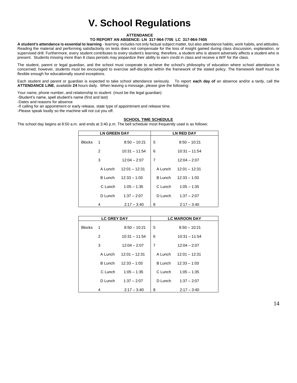# **V. School Regulations**

#### **ATTENDANCE**

#### **TO REPORT AN ABSENCE: LN 317-964-7705 LC 317-964-7405**

**A student's attendance is essential to learning** - learning includes not only factual subject matter, but also attendance habits, work habits, and attitudes. Reading the material and performing satisfactorily on tests does not compensate for the loss of insight gained during class discussion, explanation, or supervised drill. Furthermore, every student contributes to every student's learning; therefore, a student who is absent adversely affects a student who is present. Students missing more than 8 class periods may jeopardize their ability to earn credit in class and receive a W/F for the class.

The student, parent or legal guardian, and the school must cooperate to achieve the school's philosophy of education where school attendance is concerned; however, students must be encouraged to exercise self-discipline within the framework of the stated policy. The framework itself must be flexible enough for educationally sound exceptions.

Each student and parent or guardian is expected to take school attendance seriously. To report **each day of** an absence and/or a tardy, call the **ATTENDANCE LINE**, available **24** hours daily. When leaving a message, please give the following:

Your name, phone number, and relationship to student (must be the legal guardian)

-Student's name, spell student's name (first and last)

-Dates and reasons for absence

-If calling for an appointment or early release, state type of appointment and release time.

-Please speak loudly so the machine will not cut you off.

#### **SCHOOL TIME SCHEDULE**

The school day begins at 8:50 a.m. and ends at 3:40 p.m. The bell schedule most frequently used is as follows:

| <b>LN GREEN DAY</b> |                          | <b>LN RED DAY</b>      |                |                       |
|---------------------|--------------------------|------------------------|----------------|-----------------------|
| <b>Blocks</b>       | $\overline{\phantom{0}}$ | $8:50 - 10:21$         | 5              | $8:50 - 10:21$        |
|                     | 2                        | $10:31 - 11:54$        | 6              | $10.31 - 11.54$       |
|                     | 3                        | $12:04 - 2:07$         | $\overline{7}$ | $12:04 - 2:07$        |
|                     |                          | A Lunch 12:01 - 12:31  |                | A Lunch 12:01 - 12:31 |
|                     |                          | B Lunch $12:33 - 1:03$ | B Lunch        | $12:33 - 1:03$        |
|                     | C Lunch                  | $1:05 - 1:35$          | C Lunch        | $1.05 - 1.35$         |
|                     | D Lunch                  | $1:37 - 2:07$          | D Lunch        | $1:37 - 2:07$         |
|                     | 4                        | $2:17 - 3:40$          | 8              | $2:17 - 3:40$         |

| <b>LC GREY DAY</b> |                          | <b>LC MAROON DAY</b>    |         |                        |
|--------------------|--------------------------|-------------------------|---------|------------------------|
| <b>Blocks</b>      | $\overline{\phantom{1}}$ | $8:50 - 10:21$          | 5       | $8.50 - 10.21$         |
|                    | 2                        | $10:31 - 11:54$         | 6       | $10:31 - 11:54$        |
|                    | 3                        | $12:04 - 2:07$          | 7       | $12:04 - 2:07$         |
|                    |                          | A Lunch $12:01 - 12:31$ |         | A Lunch 12:01 - 12:31  |
|                    | B Lunch                  | $12:33 - 1:03$          |         | B Lunch $12:33 - 1:03$ |
|                    | C Lunch                  | $1:05 - 1:35$           | C Lunch | $1:05 - 1:35$          |
|                    | D Lunch                  | $1:37 - 2:07$           | D Lunch | $1:37 - 2:07$          |
|                    | 4                        | $2:17 - 3:40$           | 8       | $2:17 - 3:40$          |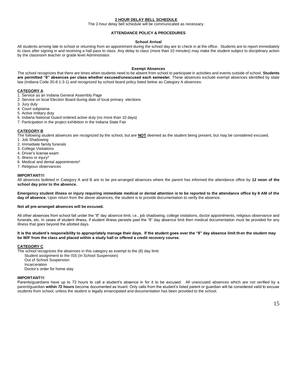#### **2 HOUR DELAY BELL SCHEDULE**

The 2-hour delay bell schedule will be communicated as necessary.

#### **ATTENDANCE POLICY & PROCEDURES**

#### **School Arrival**

All students arriving late to school or returning from an appointment during the school day are to check in at the office. Students are to report immediately to class after signing in and receiving a hall pass to class. Any delay to class (more than 10 minutes) may make the student subject to disciplinary action by the classroom teacher or grade level Administrator.

#### **Exempt Absences**

The school recognizes that there are times when students need to be absent from school to participate in activities and events outside of school. **Students are permitted "8" absences per class whether excused/unexcused each semester.** These absences exclude exempt absences identified by state law (Indiana Code 20-8.1-3-1) and recognized by school board policy listed below as Category A absences:

#### **CATEGORY A**

- 1. Service as an Indiana General Assembly Page
- 2. Service on local Election Board during date of local primary elections
- 3. Jury duty
- 4. Court subpoena
- 5. Active military duty
- 6. Indiana National Guard ordered active duty (no more than 10 days)
- 7. Participation in the project exhibition in the Indiana State Fair

#### **CATEGORY B**

The following student absences are recognized by the school, but are **NOT** deemed as the student being present, but may be considered excused.

- 1. Job Shadowing
- 2. Immediate family funerals
- 3. College Visitations
- 4. Driver's license exam
- 5. Illness or injury\*
- 6. Medical and dental appointments\*
- 7. Religious observances

#### **IMPORTANT!!!**

All absences bulleted in Category A and B are to be pre-arranged absences where the parent has informed the attendance office by **12 noon of the school day prior to the absence.** 

**Emergency student illness or injury requiring immediate medical or dental attention is to be reported to the attendance office by 8 AM of the day of absence.** Upon return from the above absences, the student is to provide documentation to verify the absence.

#### **Not all pre-arranged absences will be excused.**

All other absences from school fall under the "8" day absence limit, i.e., job shadowing, college visitations, doctor appointments, religious observance and funerals, etc. In cases of student illness, if student illness persists past the "8" day absence limit then medical documentation must be provided for any illness that goes beyond the allotted days.

#### **It is the student's responsibility to appropriately manage their days. If the student goes over the "8" day absence limit then the student may be W/F from the class and placed within a study hall or offered a credit recovery course.**

#### **CATEGORY C**

The school recognizes the absences in this category as exempt to the (8) day limit.

- Student assignment to the ISS (In School Suspension)
- Out of School Suspension Incarceration

Doctor's order for home stay

#### **IMPORTANT!!!**

Parents/guardians have up to 72 hours to call a student's absence in for it to be excused. All unexcused absences which are not verified by a parent/guardian **within 72 hours** become documented as truant. Only calls from the student's listed parent or guardian will be considered valid to excuse students from school, unless the student is legally emancipated and documentation has been provided to the school.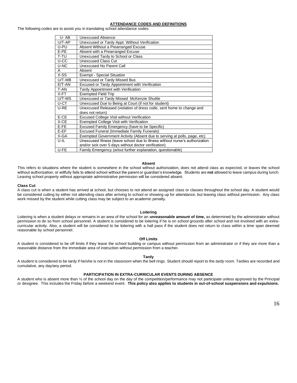#### **ATTENDANCE CODES AND DEFINITIONS**

The following codes are to assist you in translating school attendance codes:

| U-AB      | Unexcused Absence                                                            |  |
|-----------|------------------------------------------------------------------------------|--|
| $U/T-AP$  | Unexcused or Tardy Appt. Without Verification                                |  |
| U-PU      | Absent Without a Prearranged Excuse                                          |  |
| E-PE      | Absent with a Prearranged Excuse                                             |  |
| T-TU      | Unexcused Tardy to School or Class                                           |  |
| U-CC      | <b>Unexcused Class Cut</b>                                                   |  |
| U-NC      | Unexcused No Parent Call                                                     |  |
| A         | Absent                                                                       |  |
| X-SS      | <b>Exempt - Special Situation</b>                                            |  |
| $U/T$ -MB | Unexcused or Tardy Missed Bus                                                |  |
| $E/T-AN$  | <b>Excused or Tardy Appointment with Verification</b>                        |  |
| T-AN      | Tardy Appointment with Verification                                          |  |
| X-FT      | <b>Exempted Field Trip</b>                                                   |  |
| U/T-MS    | Unexcused or Tardy Missed McKenzie Shuttle                                   |  |
| U-CT      | Unexcused Due to Being at Court (if not for student)                         |  |
| U-RE      | Unexcused Released (violation of dress code, sent home to change and         |  |
|           | does not return)                                                             |  |
| E-CE      | <b>Excused College Visit without Verification</b>                            |  |
| X-CE      | Exempted College Visit with Verification                                     |  |
| E-FE      | Excused Family Emergency (have to be Specific)                               |  |
| $E-EF$    | <b>Excused Funeral (Immediate Family Funerals)</b>                           |  |
| X-GA      | Exempted Government Activity (Absent due to serving at polls, page, etc)     |  |
| $U$ -IL   | Unexcused Illness (leave school due to illness without nurse's authorization |  |
|           | and/or sick over 5 days without doctor verification)                         |  |
| U-FE      | Family Emergency (w/out further explanation, questionable)                   |  |

#### **Absent**

This refers to situations where the student is somewhere in the school without authorization, does not attend class as expected, or leaves the school without authorization, or willfully fails to attend school without the parent or guardian's knowledge. Students are **not** allowed to leave campus during lunch. Leaving school property without appropriate administrative permission will be considered absent.

#### **Class Cut**

A class cut is when a student has arrived at school, but chooses to not attend an assigned class or classes throughout the school day. A student would be considered cutting by either not attending class after arriving to school or showing up for attendance, but leaving class without permission. Any class work missed by the student while cutting class may be subject to an academic penalty.

#### **Loitering**

Loitering is when a student delays or remains in an area of the school for an **unreasonable amount of time,** as determined by the administrator without permission to do so from school personnel. A student is considered to be loitering if he is on school grounds after school and not involved with an extracurricular activity. Also, a student will be considered to be loitering with a hall pass if the student does not return to class within a time span deemed reasonable by school personnel.

#### **Off Limits**

A student is considered to be off limits if they leave the school building or campus without permission from an administrator or if they are more than a reasonable distance from the immediate area of instruction without permission from a teacher.

#### **Tardy**

A student is considered to be tardy if he/she is not in the classroom when the bell rings. Student should report to the *tardy room*. Tardies are recorded and cumulative, any day/any period.

#### **PARTICIPATION IN EXTRA-CURRICULAR EVENTS DURING ABSENCE**

A student who is absent more than ½ of the school day on the day of the competition/performance may not participate unless approved by the Principal or designee. This includes the Friday before a weekend event. **This policy also applies to students in out-of-school suspensions and expulsions.**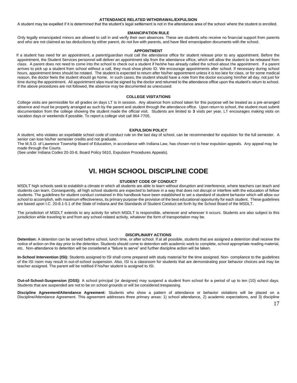#### **ATTENDANCE RELATED WITHDRAWAL/EXPULSION**

A student may be expelled if it is determined that the student's legal settlement is not in the attendance area of the school where the student is enrolled.

#### **EMANCIPATION RULE**

Only legally emancipated minors are allowed to call in and verify their own absences. These are students who receive no financial support from parents and who are not claimed as tax deductions by either parent, do not live with parents, and have filed emancipation documents with the school.

#### **APPOINTMENT**

 If a student has need for an appointment, a parent/guardian must call the attendance office for student release prior to any appointment. Before the appointment, the Student Services personnel will deliver an appointment slip from the attendance office, which will allow the student to be released from class. A parent does not need to come into the school to check out a student if he/she has already called the school about the appointment. If a parent arrives to pick up a student from school without a call, they must show photo ID. We encourage appointments after school. If necessary during school hours, appointment times should be rotated. The student is expected to return after his/her appointment unless it is too late for class, or for some medical reason, the doctor feels the student should go home. In such cases, the student should have a note from the doctor excusing him/her all day, not just for time during the appointment. All appointment slips must be signed by the doctor and returned to the attendance office upon the student's return to school. If the above procedures are not followed, the absence may be documented as unexcused.

#### **COLLEGE VISITATIONS**

College visits are permissible for all grades on days LT is in session. Any absence from school taken for this purpose will be treated as a pre-arranged absence and must be properly arranged as such by the parent and student through the attendance office. Upon return to school, the student must submit documentation from the college showing the student made the official visit. Students are limited to **3** visits per year. LT encourages making visits on vacation days or weekends if possible. To report a college visit call 964-7705.

#### **EXPULSION POLICY**

A student, who violates an expellable school code of conduct rule on the last day of school, can be recommended for expulsion for the full semester. A senior can lose his/her semester credits and not graduate.

The M.S.D. of Lawrence Township Board of Education, in accordance with Indiana Law, has chosen not to hear expulsion appeals. Any appeal may be made through the Courts.

(See under Indiana Codes 20-33-8, Board Policy 5610, Expulsion Procedures Appeals).

### **VI. HIGH SCHOOL DISCIPLINE CODE**

#### **STUDENT CODE OF CONDUCT**

MSDLT high schools seek to establish a climate in which all students are able to learn without disruption and interference, where teachers can teach and students can learn. Consequently, all high school students are expected to behave in a way that does not disrupt or interfere with the education of fellow students. The guidelines for student conduct contained in this handbook have been established to set a standard of student behavior which will allow our school to accomplish, with maximum effectiveness, its primary purpose-the provision of the best educational opportunity for each student. These quidelines are based upon I.C. 20-8.1-5.1 of the State of Indiana and the Standards of Student Conduct set forth by the School Board of the MSDLT.

The jurisdiction of MSDLT extends to any activity for which MSDLT is responsible, whenever and wherever it occurs. Students are also subject to this jurisdiction while traveling to and from any school-related activity, whatever the form of transportation may be.

#### **DISCIPLINARY ACTIONS**

**Detention:** A detention can be served before school, lunch time, or after school. If at all possible, students that are assigned a detention shall receive the notice of action on the day prior to the detention. Students should come to detention with academic work to complete, school appropriate reading material, etc. Non-attendance to detention will be considered a "failure to serve" and further discipline action will be taken.

**In-School Intervention (ISI):** Students assigned to ISI shall come prepared with study material for the time assigned. Non- compliance to the guidelines of the ISI room may result in out-of-school suspension. Also, ISI is a classroom for students that are demonstrating poor behavior choices and may be teacher assigned. The parent will be notified if his/her student is assigned to ISI.

**Out-of-School-Suspension (OSS):** A school principal (or designee) may suspend a student from school for a period of up to ten (10) school days. Students that are suspended are not to be on school grounds or will be considered trespassing.

**Discipline Agreement/Attendance Agreement:** Students who show a pattern of attendance or behavior violations will be placed on a Discipline/Attendance Agreement. This agreement addresses three primary areas: 1) school attendance, 2) academic expectations, and 3) discipline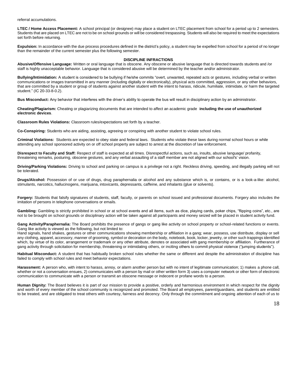referral accumulations.

**LTEC / Home Access Placement:** A school principal (or designee) may place a student on LTEC placement from school for a period up to 2 semesters. Students that are placed on LTEC are not to be on school grounds or will be considered trespassing. Students will also be required to meet the expectations set forth before returning.

**Expulsion:** In accordance with the due process procedures defined in the district's policy, a student may be expelled from school for a period of no longer than the remainder of the current semester plus the following semester.

#### **DISCIPLINE INFRACTIONS**

**Abusive/Offensive Language:** Written or oral language that is obscene. Any obscene or abusive language that is directed towards students and /or staff is highly unacceptable behavior. Language that is considered abusive will be determined by the teacher and/or administrator.

**Bullying/Intimidation:** A student is considered to be bullying if he/she commits "overt, unwanted, repeated acts or gestures, including verbal or written communications or images transmitted in any manner (including digitally or electronically), physical acts committed, aggression, or any other behaviors, that are committed by a student or group of students against another student with the intent to harass, ridicule, humiliate, intimidate, or harm the targeted student." (IC 20-33-8-0.2).

**Bus Misconduct:** Any behavior that interferes with the driver's ability to operate the bus will result in disciplinary action by an administrator.

**Cheating/Plagiarism:** Cheating or plagiarizing documents that are intended to affect an academic grade **including the use of unauthorized electronic devices**.

**Classroom Rules Violations:** Classroom rules/expectations set forth by a teacher.

**Co-Conspiring:** Students who are aiding, assisting, agreeing or conspiring with another student to violate school rules.

**Criminal Violations:** Students are expected to obey state and federal laws. Students who violate these laws during normal school hours or while attending any school sponsored activity on or off school property are subject to arrest at the discretion of law enforcement.

**Disrespect to Faculty and Staff:** Respect of staff is expected at all times. Disrespectful actions, such as, insults, abusive language/ profanity, threatening remarks, posturing, obscene gestures, and any verbal assaulting of a staff member are not aligned with our school's' vision.

**Driving/Parking Violations:** Driving to school and parking on campus is a privilege not a right. Reckless driving, speeding, and illegally parking will not be tolerated.

**Drugs/Alcohol:** Possession of or use of drugs, drug paraphernalia or alcohol and any substance which is, or contains, or is a look-a-like: alcohol, stimulants, narcotics, hallucinogens, marijuana, intoxicants, depressants, caffeine, and inhalants (glue or solvents).

**Forgery:** Students that falsify signatures of students, staff, faculty, or parents on school issued and professional documents. Forgery also includes the imitation of persons in telephone conversations or emails.

Gambling: Gambling is strictly prohibited in school or at school events and all items, such as dice, playing cards, poker chips, "flipping coins", etc., are not to be brought on school grounds or disciplinary action will be taken against all participants and money seized will be placed in student activity fund.

Gang Activity/Paraphernalia: The Board prohibits the presence of gangs or gang like activity on school property or school-related functions or events. Gang like activity is viewed as the following, but not limited to:

Hand signals, hand shakes, gestures or other communications showing membership or affiliation in a gang; wear, possess, use distribute, display or sell any clothing, apparel, accessory, manner of grooming, symbol or decoration on the body, notebook, book, locker, jewelry, or other such trappings identified which, by virtue of its color, arrangement or trademark or any other attribute, denotes or associated with gang membership or affiliation. Furtherance of gang activity through solicitation for membership, threatening or intimidating others, or inciting others to commit physical violence ("jumping students").

**Habitual Misconduct:** A student that has habitually broken school rules whether the same or different and despite the administration of discipline has failed to comply with school rules and meet behavior expectations.

**Harassment:** A person who, with intent to harass, annoy, or alarm another person but with no intent of legitimate communication; 1) makes a phone call, whether or not a conversation ensues, 2) communicates with a person by mail or other written form 3) uses a computer network or other form of electronic communication to communicate with a person or transmit an obscene message or indecent or profane words to a person.

Human Dignity: The Board believes it is part of our mission to provide a positive, orderly and harmonious environment in which respect for the dignity and worth of every member of the school community is recognized and promoted. The Board all employees, parent/guardians, and students are entitled to be treated, and are obligated to treat others with courtesy, fairness and decency. Only through the commitment and ongoing attention of each of us to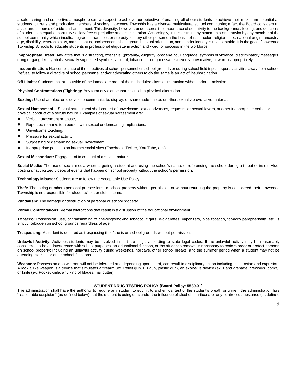a safe, caring and supportive atmosphere can we expect to achieve our objective of enabling all of our students to achieve their maximum potential as students, citizens and productive members of society. Lawrence Township has a diverse, multicultural school community; a fact the Board considers an asset and a source of pride and enrichment. This diversity, however, underscores the importance of sensitivity to the backgrounds, feeling, and concerns of students an equal opportunity society free of prejudice and discrimination. Accordingly, in this district, any statements or behavior by any member of the school community which insults, degrades, harasses or stereotypes any other person on the basis of race, color, religion, sex, national origin, ancestry, age, disability, veteran status, marital status, socioeconomic background, sexual orientation, and gender identity is unacceptable. It is the goal of Lawrence Township Schools to educate students in professional etiquette in action and word for success in the workforce.

**Inappropriate Dress:** Any attire that is distracting, offensive, (profanity, vulgarity, obscene, foul language, symbols of violence, discriminatory messages, gang or gang-like symbols, sexually suggested symbols, alcohol, tobacco, or drug messages) overtly provocative, or worn inappropriately.

**Insubordination:** Noncompliance of the directives of school personnel on school grounds or during school field trips or sports activities away from school. Refusal to follow a directive of school personnel and/or advocating others to do the same is an act of insubordination.

**Off Limits:** Students that are outside of the immediate area of their scheduled class of instruction without prior permission.

**Physical Confrontations (Fighting):** Any form of violence that results in a physical altercation.

**Sexting:** Use of an electronic device to communicate, display, or share nude photos or other sexually provocative material.

**Sexual Harassment:** Sexual harassment shall consist of unwelcome sexual advances, requests for sexual favors, or other inappropriate verbal or physical conduct of a sexual nature. Examples of sexual harassment are:

- Verbal harassment or abuse,
- Repeated remarks to a person with sexual or demeaning implications,
- Unwelcome touching.
- Pressure for sexual activity,
- Suggesting or demanding sexual involvement,
- Inappropriate postings on internet social sites (Facebook, Twitter, You Tube, etc.).

**Sexual Misconduct:** Engagement in conduct of a sexual nature.

Social Media: The use of social media when targeting a student and using the school's name, or referencing the school during a threat or insult. Also, posting unauthorized videos of events that happen on school property without the school's permission.

**Technology Misuse:** Students are to follow the Acceptable Use Policy.

**Theft:** The taking of others personal possessions or school property without permission or without returning the property is considered theft. Lawrence Township is not responsible for students' lost or stolen items.

**Vandalism:** The damage or destruction of personal or school property.

**Verbal Confrontations:** Verbal altercations that result in a disruption of the educational environment.

**Tobacco:** Possession, use, or transmitting of chewing/smoking tobacco, cigars, e-cigarettes, vaporizers, pipe tobacco, tobacco paraphernalia, etc. is strictly forbidden on school grounds regardless of age.

**Trespassing:** A student is deemed as trespassing if he/she is on school grounds without permission.

**Unlawful Activity:** Activities students may be involved in that are illegal according to state legal codes. If the unlawful activity may be reasonably considered to be an interference with school purposes, an educational function, or the student's removal is necessary to restore order or protect persons on school property; including an unlawful activity during weekends, holidays, other school breaks, and the summer period when a student may not be attending classes or other school functions.

**Weapons:** Possession of a weapon will not be tolerated and depending upon intent, can result in disciplinary action including suspension and expulsion. A look a like weapon is a device that simulates a firearm (ex. Pellet gun, BB gun, plastic gun), an explosive device (ex. Hand grenade, fireworks, bomb), or knife (ex. Pocket knife, any kind of blades, nail cutter).

#### **STUDENT DRUG TESTING POLICY [Board Policy: 5530.01]**

The administration shall have the authority to require any student to submit to a chemical test of the student's breath or urine if the administration has "reasonable suspicion" (as defined below) that the student is using or is under the influence of alcohol, marijuana or any controlled substance (as defined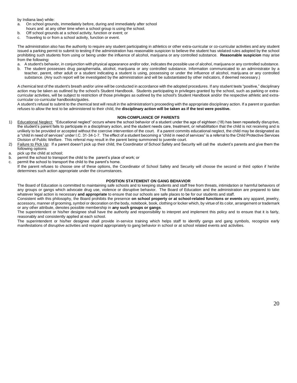by Indiana law) while:

- a. On school grounds, immediately before, during and immediately after school hours and at any other time when a school group is using the school.
- b. Off school grounds at a school activity, function or event; or
- c. Traveling to or from a school activity, function or event.

The administration also has the authority to require any student participating in athletics or other extra-curricular or co-curricular activities and any student issued a parking permit to submit to testing if the administration has reasonable suspicion to believe the student has violated rules adopted by the school prohibiting such students from using or being under the influence of alcohol, marijuana or any controlled substance. **Reasonable suspicion** may arise from the following**:**

- a. A student's behavior, in conjunction with physical appearance and/or odor, indicates the possible use of alcohol, marijuana or any controlled substance.
- b. The student possesses drug paraphernalia, alcohol, marijuana or any controlled substance. Information communicated to an administrator by a teacher, parent, other adult or a student indicating a student is using, possessing or under the influence of alcohol, marijuana or any controlled substance. (Any such report will be investigated by the administration and will be substantiated by other indicators, if deemed necessary.)

A chemical test of the student's breath and/or urine will be conducted in accordance with the adopted procedures. If any student tests "positive," disciplinary action may be taken as outlined by the school's Student Handbook. Students participating in privileges granted by the school, such as parking or extracurricular activities, will be subject to restriction of those privileges as outlined by the school's Student Handbook and/or the respective athletic and extracurricular co-curricular handbooks/guides.

A student's refusal to submit to the chemical test will result in the administration's proceeding with the appropriate disciplinary action. If a parent or guardian refuses to allow the test to be administered to their child, the **disciplinary action will be taken as if the test were positive.**

#### **NON-COMPLIANCE OF PARENTS**

- 1) Educational Neglect: "Educational neglect" occurs where the school behavior of a student under the age of eighteen (18) has been repeatedly disruptive, the student's parent fails to participate in a disciplinary action, and the student needs care, treatment, or rehabilitation that the child is not receiving and is unlikely to be provided or accepted without the coercive intervention of the court. If a parent commits educational neglect, the child may be designated as a "child in need of services" under I.C. 31-34-1-7. The effect of a student becoming a "child in need of services" is a referral to the Child Protective Services Division of Public Welfare. This referral may result in the parent being summoned to juvenile court.
- 2) Failure to Pick Up: If a parent doesn't pick up their child, the Coordinator of School Safety and Security will call the student's parents and give them the following options:
- a. pick up the child at school;
- b. permit the school to transport the child to the parent's place of work; or
- c. permit the school to transport the child to the parent's home.
	- If the parent refuses to choose one of these options, the Coordinator of School Safety and Security will choose the second or third option if he/she determines such action appropriate under the circumstances.

#### **POSITION STATEMENT ON GANG BEHAVIOR**

The Board of Education is committed to maintaining safe schools and to keeping students and staff free from threats, intimidation or harmful behaviors of any groups or gangs which advocate drug use, violence or disruptive behavior. The Board of Education and the administration are prepared to take whatever legal action is necessary **and appropriate** to ensure that our schools are safe places to be for our students and staff.

Consistent with this philosophy, the Board prohibits the presence **on school property or at school-related functions or events** any apparel, jewelry, accessory, manner of grooming, symbol or decoration on the body, notebook, book, clothing or locker which, by virtue of its color, arrangement or trademark or any other attribute, denotes possible membership in **any such groups or gangs**.

The superintendent or his/her designee shall have the authority and responsibility to interpret and implement this policy and to ensure that it is fairly, reasonably and consistently applied at each school.

The superintendent or his/her designee shall provide in-service training which helps staff to identify gangs and gang symbols, recognize early manifestations of disruptive activities and respond appropriately to gang behavior in school or at school related events and activities.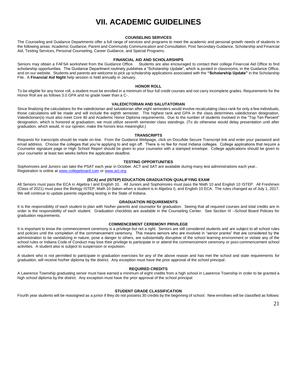## **VII. ACADEMIC GUIDELINES**

#### **COUNSELING SERVICES**

The Counseling and Guidance Departments offer a full range of services and programs to meet the academic and personal growth needs of students in the following areas: Academic Guidance, Parent and Community Communication and Consultation, Post Secondary Guidance, Scholarship and Financial Aid, Testing Services, Personal Counseling, Career Guidance, and Special Programs.

#### **FINANCIAL AID AND SCHOLARSHIPS**

Seniors may obtain a FAFSA worksheet from the Guidance Office. Students are also encouraged to contact their college Financial Aid Office to find scholarship opportunities. The Guidance Department routinely publishes a "Scholarship Update", which is posted in classrooms, in the Guidance Office, and on our website. Students and parents are welcome to pick up scholarship applications associated with the **"Scholarship Update"** in the Scholarship File. A **Financial Aid Night** help session is held annually in January.

#### **HONOR ROLL**

To be eligible for any honor roll, a student must be enrolled in a minimum of four full credit courses and not carry incomplete grades. Requirements for the Honor Roll are as follows 3.0 GPA and no grade lower than a C-.

#### **VALEDICTORIAN AND SALUTATORIAN**

Since finalizing the calculations for the valedictorian and salutatorian after eight semesters would involve recalculating class rank for only a few individuals, those calculations will be made and will include the eighth semester. The highest rank and GPA in the class determines valedictorian designation. Valedictorian(s) must also meet Core 40 and Academic Honor Diploma requirements. Due to the number of students involved in the "Top Ten Percent" designation, which is honored at graduation, we must utilize seventh semester class standings. (To do otherwise would delay presentation until after graduation, which would, in our opinion, make the honors less meaningful.)

#### **TRANSCRIPTS**

Requests for transcripts should be made on-line. From the Guidance Webpage, click on Docufide Secure Transcript link and enter your password and email address. Choose the colleges that you're applying to and sign off. There is no fee for most Indiana colleges. College applications that require a Counselor signature page or High School Report should be given to your counselor with a stamped envelope. College applications should be given to your counselor at least two weeks before the application deadline.

#### **TESTING OPPORTUNITIES**

Sophomores and Juniors can take the PSAT each year in October. ACT and SAT are available during many test administrations each year.. Registration is online a[t www.collegeboard.com](http://www.collegeboard.com/) o[r www.act.org.](http://www.act.org/)

#### **(ECA) and (ISTEP) EDUCATION GRADUATION QUALIFYING EXAM**

All Seniors must pass the ECA in Algebra I and English 10. All Juniors and Sophomores must pass the Math 10 and English 10 ISTEP. All Freshmen (Class of 2021) must pass the Biology ISTEP, Math 10 (taken when a student is in Algebra I), and English 10 ECA. The rules changed as of July 1, 2017. We will continue to update parents regarding testing in the State of Indiana.

#### **GRADUATION REQUIREMENTS**

It is the responsibility of each student to plan with his/her parents and counselor for graduation. Seeing that all required courses and total credits are in order is the responsibility of each student. Graduation checklists are available in the Counseling Center. See Section III –School Board Policies for graduation requirements.

#### **COMMENCEMENT CEREMONY PRIVILEGE**

It is important to know the commencement ceremony is a privilege but not a right. Seniors are still considered students and are subject to all school rules and policies until the completion of the commencement ceremony. This means seniors who are involved in "senior pranks" that are considered by the administration to be vandalizing in nature, pose a danger to others, are substantially disruptive of the school learning environment or violate any of the school rules or Indiana Code of Conduct may lose their privilege to participate in or attend the commencement ceremony or post-commencement school activities. A student also is subject to suspension or expulsion.

A student who is not permitted to participate in graduation exercises for any of the above reason and has met the school and state requirements for graduation, will receive his/her diploma by the district. Any exception must have the prior approval of the school principal.

#### **REQUIRED CREDITS**

A Lawrence Township graduating senior must have earned a minimum of eight credits from a high school in Lawrence Township in order to be granted a high school diploma by the district. Any exception must have the prior approval of the school principal.

#### **STUDENT GRADE CLASSIFICATION**

Fourth year students will be reassigned as a junior if they do not possess 30 credits by the beginning of school. New enrollees will be classified as follows: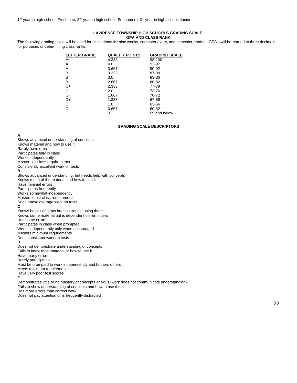1<sup>st</sup> year in high school: Freshman; 2<sup>nd</sup> year in high school: Sophomore; 3<sup>rd</sup> year in high school: Junior

#### **LAWRENCE TOWNSHIP HIGH SCHOOLS GRADING SCALE, GPA AND CLASS RANK**

The following grading scale will be used for all students for nine weeks, semester exam, and semester grades. GPA's will be carried to three decimals for purposes of determining class ranks.

| <b>LETTER GRADE</b> | <b>QUALITY POINTS</b> | <b>GRADING SCALE</b> |
|---------------------|-----------------------|----------------------|
| A+                  | 4.333                 | 98-100               |
| Α                   | 4.0                   | 93-97                |
| А-                  | 3.667                 | 90-92                |
| B+                  | 3.333                 | 87-89                |
| В                   | 3.0                   | 83-86                |
| В-                  | 2.667                 | 80-82                |
| C+                  | 2.333                 | 77-79                |
| С                   | 2.0                   | 73-76                |
| $C-$                | 1.667                 | 70-72                |
| D+                  | 1.333                 | 67-69                |
| D                   | 1.0                   | 63-66                |
| D-                  | 0.667                 | 60-62                |
| F                   | O                     | 59 and below         |
|                     |                       |                      |

#### **GRADING SCALE DESCRIPTORS**

**A**

Shows advanced understanding of concepts Knows material and how to use it Rarely have errors Participates fully in class Works independently Masters all class requirements Consistently excellent work on tests **B** Shows advanced understanding, but needs help with concepts Knows much of the material and how to use it Have minimal errors Participates frequently Works somewhat independently Masters most class requirements Does above average work on tests **C** Knows basic concepts but has trouble using them Knows some material but is dependent on reminders Has some errors Participates in class when prompted Works independently only when encouraged Masters minimum requirements Does consistent work on tests **D** Does not demonstrate understanding of concepts Fails to know most material or how to use it Have many errors Rarely participates Must be prompted to work independently and bothers others Meets minimum requirements Have very poor test scores **F** Demonstrates little or no mastery of concepts or skills (work does not communicate understanding) Fails to show understanding of concepts and how to use them Has more errors than correct work Does not pay attention or is frequently distracted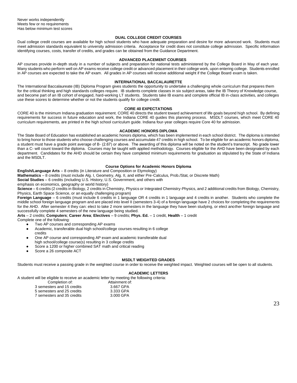Never works independently Meets few or no requirements Has below minimum test scores

#### **DUAL COLLEGE CREDIT COURSES**

Dual college credit courses are available for high school students who have adequate preparation and desire for more advanced work. Students must meet admission standards equivalent to university admission criteria. Acceptance for credit does not constitute college admission. Specific information identifying courses, costs, transfer of credits, and grades can be obtained from the Guidance Department.

#### **ADVANCED PLACEMENT COURSES**

AP courses provide in-depth study in a number of subjects and preparation for national tests administered by the College Board in May of each year. Many students who perform well on AP exams receive college credit or advanced placement in their college work, upon entering college. Students enrolled in AP courses are expected to take the AP exam. All grades in AP courses will receive additional weight if the College Board exam is taken.

#### **INTERNATIONAL BACCALAURETTE**

The International Baccalaureate (IB) Diploma Program gives students the opportunity to undertake a challenging whole curriculum that prepares them for the critical thinking and high standards colleges require. IB students complete classes in six subject areas, take the IB Theory of Knowledge course, and become part of an IB cohort of engaged, hard-working LT students. Students take IB exams and complete official IB in-class activities, and colleges use these scores to determine whether or not the students qualify for college credit.

#### **CORE 40 EXPECTATIONS**

CORE 40 is the minimum Indiana graduation requirement. CORE 40 directs the student toward achievement of life goals beyond high school. By defining requirements for success in future education and work, the Indiana CORE 40 guides this planning process. MSDLT courses, which meet CORE 40 curriculum requirements, are printed in the high school curriculum guide. Indiana four-year colleges require Core 40 for admission.

#### **ACADEMIC HONORS DIPLOMA**

The State Board of Education has established an academic honors diploma, which has been implemented in each school district. The diploma is intended to bring honor to those students who choose challenging courses and accumulate 47 credits in high school. To be eligible for an academic honors diploma, a student must have a grade point average of B- (2.67) or above. The awarding of this diploma will be noted on the student's transcript. No grade lower than a C- will count toward the diploma. Courses may be taught with applied methodology. Courses eligible for the AHD have been designated by each department. Candidates for the AHD should be certain they have completed minimum requirements for graduation as stipulated by the State of Indiana and the MSDLT.

#### **Course Options for Academic Honors Diploma**

**English/Language Arts** – 8 credits (in Literature and Composition or Etymology)

**Mathematics** – 8 credits (must include Alg. I, Geometry, Alg. II, and either Pre-Calculus, Prob./Stat, or Discrete Math)

**Social Studies** – 6 credits (including U.S. History, U.S. Government, and others with

emphasis on economics, geography or world history)

**Science** – 6 credits (2 credits in Biology, 2 credits in Chemistry, Physics or Integrated Chemistry-Physics, and 2 additional credits from Biology, Chemistry, Physics, Earth Space Science, or an equally challenging program)

**Foreign Language** – 6 credits (must include 6 credits in 1 language OR 4 credits in 1 language and 4 credits in another. Students who complete the middle school foreign language program and are placed into level II (semesters 3-4) of a foreign language have 2 choices for completing the requirements for the AHD. After semester 4 they can: elect to take 2 more semesters in the language they have been studying, or elect another foreign language and successfully complete 4 semesters of the new language being studied.

**Arts** – 2 credits; **Computers**; **Career Area**; **Electives** – 9 credits; **Phys. Ed.** – 1 credit, **Health** – 1 credit Complete one of the following:

- Two AP courses and corresponding AP exams
- Academic, transferable dual high school/college courses resulting in 6 college credits
- One AP course and corresponding AP exam and academic transferable dual high school/college course(s) resulting in 3 college credits
- Score a 1200 or higher combined SAT math and critical reading
- Score a 26 composite ACT

#### **MSDLT WEIGHTED GRADES**

Students must receive a passing grade in the weighted course in order to receive the weighted impact. Weighted courses will be open to all students.

#### **ACADEMIC LETTERS**

A student will be eligible to receive an academic letter by meeting the following criteria:

| Completion of:             | Attainment of: |  |
|----------------------------|----------------|--|
| 3 semesters and 15 credits | 3.667 GPA      |  |
| 5 semesters and 25 credits | 3.333 GPA      |  |
| 7 semesters and 35 credits | 3.000 GPA      |  |
|                            |                |  |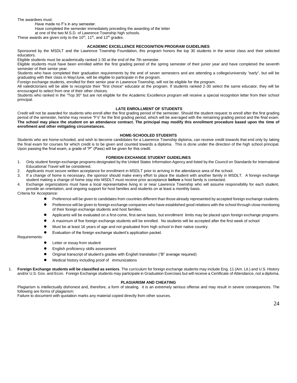The awardees must:

Have made no F's in any semester.

Have completed the semester immediately preceding the awarding of the letter

at one of the two M.S.D. of Lawrence Township high schools.

These awards are given only to the 10<sup>th</sup>, 11<sup>th</sup>, and 12<sup>th</sup> grades.

#### **ACADEMIC EXCELLENCE RECOGNITION PROGRAM GUIDELINES**

Sponsored by the MSDLT and the Lawrence Township Foundation, this program honors the top 30 students in the senior class and their selected educators.

Eligible students must be academically ranked 1-30 at the end of the 7th semester.

Eligible students must have been enrolled within the first grading period of the spring semester of their junior year and have completed the seventh semester of their senior year.

Students who have completed their graduation requirements by the end of seven semesters and are attending a college/university "early", but will be graduating with their class in May/June, will be eligible to participate in the program.

Foreign exchange students, enrolled for their senior year in Lawrence Township, will not be eligible for the program.

All valedictorians will be able to recognize their "first choice" educator at the program. If students ranked 2-30 select the same educator, they will be encouraged to select from one of their other choices.

Students who ranked in the "Top 30" but are not eligible for the Academic Excellence program will receive a special recognition letter from their school principal.

#### **LATE ENROLLMENT OF STUDENTS**

Credit will not be awarded for students who enroll after the first grading period of the semester. Should the student request to enroll after the first grading period of the semester, he/she may receive "F's" for the first grading period, which will be averaged with the remaining grading period and the final exam. **The school may place the student on an attendance contract. The principal may modify this enrollment procedure based upon the time of enrollment and other mitigating circumstances.**

#### **HOME-SCHOOLED STUDENTS**

Students who are home-schooled, and wish to become candidates for a Lawrence Township diploma, can receive credit towards that end only by taking the final exam for courses for which credit is to be given and counted towards a diploma. This is done under the direction of the high school principal. Upon passing the final exam, a grade of "P" (Pass) will be given for this credit.

#### **FOREIGN EXCHANGE STUDENT GUIDELINES**

- 1. Only student foreign exchange programs designated by the United States Information Agency and listed by the Council on Standards for International Educational Travel will be considered.
- 2. Applicants must secure written acceptance for enrollment in MSDLT prior to arriving in the attendance area of the school.
- If a change of home is necessary, the sponsor should make every effort to place the student with another family in MSDLT. A foreign exchange student making a change of home stay into MSDLT must receive prior acceptance **before** a host family is contacted.
- 4. Exchange organizations must have a local representative living in or near Lawrence Township who will assume responsibility for each student, provide an orientation, and ongoing support for host families and students on at least a monthly basis. Criteria for Acceptance:
	- Preference will be given to candidates from countries different than those already represented by accepted foreign exchange students.
	- Preference will be given to foreign exchange companies who have established good relations with the school through close monitoring of their foreign exchange students and host families.
	- Applicants will be evaluated on a first-come, first-serve basis, but enrollment limits may be placed upon foreign exchange programs.
	- A maximum of five foreign exchange students will be enrolled. No students will be accepted after the first week of school
	- Must be at least 16 years of age and not graduated from high school in their native country.

Evaluation of the foreign exchange student's application packet.

- Requirements:
- Letter or essay from student
- English proficiency skills assessment
- Original transcript of student's grades with English translation ("B" average required)
- Medical history including proof of immunizations
- 1. **Foreign Exchange students will be classified as seniors**. The curriculum for foreign exchange students may include Eng. 11 (Am. Lit.) and U.S. History and/or U.S. Gov. and Econ. Foreign Exchange students may participate in Graduation Exercises but will receive a Certificate of Attendance, not a diploma.

#### **PLAGIARISM AND CHEATING**

Plagiarism is intellectually dishonest and, therefore, a form of stealing. it is an extremely serious offense and may result in severe consequences. The following are forms of plagiarism:

Failure to document with quotation marks any material copied directly from other sources.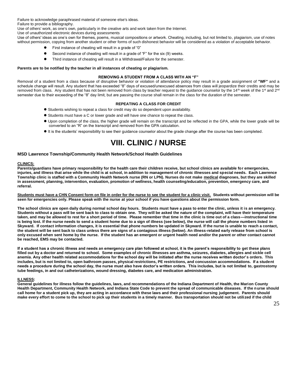Failure to acknowledge paraphrased material of someone else's ideas.

Failure to provide a bibliography.

Use of others' work, as one's own, particularly in the creative arts and work taken from the Internet.

Use of unauthorized electronic devices during assessments

Use of others' ideas as one's own for themes, poems, musical compositions or artwork. Cheating, including, but not limited to, plagiarism, use of notes without permission, copying from another student or other forms of such dishonest behavior will be considered as a violation of acceptable behavior.

- First instance of cheating will result in a grade of "0"
- Second instance of cheating will result in a grade of "F" for the six (9) weeks.
- Third instance of cheating will result in a Withdrawal/Failure for the semester.

#### **Parents are to be notified by the teacher in all instances of cheating or plagiarism.**

#### **REMOVING A STUDENT FROM A CLASS WITH AN "F"**

Removal of a student from a class because of disruptive behavior or violation of attendance policy may result in a grade assignment of **"WF"** and a schedule change will result. Any student that has exceeded "8" days of excused/unexcused absences from class will jeopardize their credits and may be removed from class. Any student that has not been removed from class by teacher request to the guidance counselor by the 14<sup>th</sup> week of the 1<sup>st</sup> and 2<sup>nd</sup> semester due to their exceeding of the "8" day limit, but are passing the course shall remain in the class for the duration of the semester.

#### **REPEATING A CLASS FOR CREDIT**

- Students wishing to repeat a class for credit may do so dependent upon availability.
- Students must have a C or lower grade and will have one chance to repeat the class.
- Upon completion of the class, the higher grade will remain on the transcript and be reflected in the GPA, while the lower grade will be converted to an "R" on the transcript and removed from the GPA calculation.
- It is the students' responsibility to see their guidance counselor about the grade change after the course has been completed.

### **VIII. CLINIC / NURSE**

#### **MSD Lawrence Township/Community Health Network/School Health Guidelines**

#### **CLINICS:**

**Parents/guardians have primary responsibility for the health care their children receive, but school clinics are available for emergencies, injuries, and illness that arise while the child is at school, in addition to management of chronic illnesses and special needs. Each Lawrence Township clinic is staffed with a Community Health Network nurse (RN or LPN). Nurses do not make medical diagnoses, but they are skilled in assessment, planning, intervention, evaluation, promotion of wellness, health counseling/education, prevention, emergency care, and referral.** 

**Students must have a CHN Consent form on file in order for the nurse to see the student for a clinic visit. Students without permission will be seen for emergencies only. Please speak with the nurse at your school if you have questions about the permission form.** 

**The school clinics are open daily during normal school day hours. Students must have a pass to enter the clinic, unless it is an emergency. Students without a pass will be sent back to class to obtain one. They will be asked the nature of the complaint, will have their temperature taken, and may be allowed to rest for a short period of time. Please remember that time in the clinic is time out of a class—instructional time is being lost. If the nurse needs to send a student home due to a sign of illness (see below), the nurse will call the phone numbers listed in Skyward. If contact information changes, it is essential that phone numbers be updated in Skyward. If the nurse is unable to reach a contact, the student will be sent back to class unless there are signs of a contagious illness (below). An illness-related early release from school is only excused when sent home by the nurse. If the student has an emergent or urgent health need and/or the parent or other contact cannot be reached, EMS may be contacted.**

**If a student has a chronic illness and needs an emergency care plan followed at school, it is the parent's responsibility to get these plans filled out by a doctor and returned to school. Some examples of chronic illnesses are asthma, seizures, diabetes, allergies and sickle cell anemia. Any other health related accommodations for the school day will be initiated after the nurse receives written doctor's orders. This includes, but is not limited to, open bathroom passes, physical restrictions, PE restrictions, and concussion accommodations. If a student needs a procedure during the school day, the nurse must also have doctor's written orders. This includes, but is not limited to, gastrostomy tube feedings, in and out catheterizations, wound dressing, diabetes care, and medication administration.**

#### **ILLNESS:**

**General guidelines for illness follow the guidelines, laws, and recommendations of the Indiana Department of Health, the Marion County Health Department, Community Health Network, and Indiana State Code to prevent the spread of communicable diseases. If the nurse should call home for a student pick up, they are acting in accordance with these laws and their professional nursing judgement. Parents should make every effort to come to the school to pick up their students in a timely manner. Bus transportation should not be utilized if the child**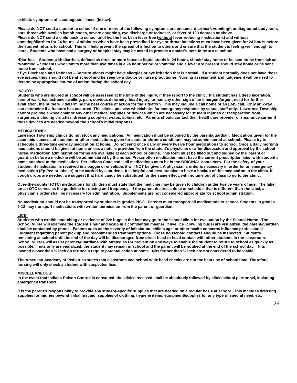#### **exhibits symptoms of a contagious illness (below).**

**Please do NOT send a student to school if one or more of the following symptoms are present: diarrhea\*, vomiting\*, undiagnosed body rash, sore throat with swollen lymph nodes, severe coughing, eye discharge or redness\*, or fever of 100 degrees or above. Please do NOT send a child back to school until he/she has been fever-free (without fever-reducing medications) and without vomiting/diarrhea for 24 hours. Antibiotics which have been prescribed for eye or throat infections must have been given for 24 hours before the student returns to school. This will help prevent the spread of infection to others and ensure that the student is feeling well enough to learn. Students who have had a surgery or hospital stay may be asked to provide a doctor's note to return to school.**

**\*Diarrhea – Student with diarrhea, defined as three or more loose or liquid stools in 24 hours, should stay home or be sent home from school. \*Vomiting – Students who vomits more than two times in a 24 hour period or vomiting and a fever are present should stay home or be sent home from school.**

**\* Eye Discharge and Redness – Some students might have allergies or eye irritation that is normal. If a student normally does not have these eye issues, they should not be at school and be seen by a doctor or nurse practitioner. Nursing assessment and judgement will be used to determine appropriate course of action during the school day.**

#### **INJURY:**

**Students who are injured at school will be assessed at the time of the injury, if they report to the clinic. If a student has a deep laceration, cannot walk, has extreme swelling, pain, obvious deformity, head injury, or has any other sign of an emergent/urgent need for further evaluation, the nurse will determine the best course of action for the situation. This may include a call home or an EMS call. Only an x-ray can determine if a fracture has occurred. The clinics possess wheelchairs for emergency response by school staff only. Lawrence Township cannot provide a wheelchair or any other medical supplies or devices which are necessary for student injuries or recuperation from surgeries, including crutches, dressing supplies, wraps, splints, etc. Parents should contact their healthcare provider or insurance carrier if these devices are needed beyond the school's initial response.**

#### **MEDICATIONS:**

**Lawrence Township clinics do not stock any medications. All medication must be supplied by the parent/guardian. Medication given for the academic success of students or other medications given for acute or chronic conditions may be administered at school. Please try to schedule a three-time-per-day medication at home. Do not send once daily or every twelve hour medications to school. Once a daily morning medications should be given at home unless a note is provided from the student's physician or after discussion and approval by the school nurse. Medication administration forms are available at each school or online. This form must be filled out and signed by the parent or guardian before a medicine will be administered by the nurse. Prescription medication must have the current prescription label with student's name attached to the medication. Per Indiana State code, all medications must be in the ORIGINAL containers. For the safety of your student, if medication is received in a baggie or envelope, it will NOT be given. A physician's order is necessary in order for an emergency medication (EpiPen or inhaler) to be carried by a student. It is helpful and best practice to have a backup of this medication in the clinic. If cough drops are needed, we suggest that hard candy be substituted for the same effect, with no time out of class to go to the clinic.** 

**Over-the-counter (OTC) medications for children must state that the medicine may be given to children under twelve years of age. The label on an OTC serves as the guideline for dosing and frequency. If the parent desires a dose or schedule that is different than the label, a physician's order shall be necessary for administration. Supplements are not considered appropriate for school administration.** 

**No medication should not be transported by students in grades PK-8. Parents must transport all medications to school. Students in grades 9-12 may transport medications with written permission from the parent or guardian.**

#### **LICE:**

**Students who exhibit scratching or evidence of live bugs in the hair may go to the school clinic for evaluation by the School Nurse. The School Nurse will examine the student's hair and scalp in a confidential manner. If live lice (crawling bugs) are visualized, the parent/guardian shall be contacted by phone. Factors such as the severity of infestation, child's age, or other health concerns influence professional judgment regarding parent pick up and recommended treatment options. Close household contacts should be inspected. Students remaining at school until the end of the day will be discouraged from direct head to head contact with other students in the classroom. School Nurses will assist parents/guardians with strategies for prevention and ways to enable the student to return to school as quickly as possible. If nits only are visualized, the student may remain in school and the parent will be notified at the end of the school day. Nits located closer than ½ inch on the scalp require parental action at home. Nits farther than ½ inch are not considered to be viable.**

**The American Academy of Pediatrics states that classroom and school wide head checks are not the best use of school time. Therefore, nursing will only check a student with suspected lice.**

#### **MISCELLANEOUS:**

**In the event that Indiana Poison Control is consulted, the advice received shall be absolutely followed by clinic/school personnel, including emergency transport.** 

**It is the parent's responsibility to provide any student-specific supplies that are needed on a regular basis at school. This includes dressing supplies for injuries beyond initial first aid, supplies of clothing, hygiene items, equipment/supplies for any type of special need, etc.**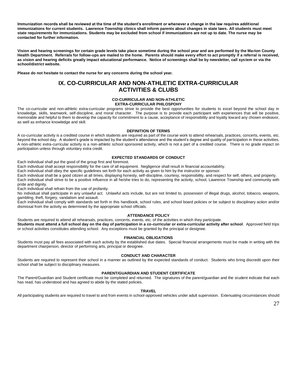**Immunization records shall be reviewed at the time of the student's enrollment or whenever a change in the law requires additional immunizations for current students. Lawrence Township clinics shall inform parents about changes in state laws. All students must meet state requirements for immunizations. Students may be excluded from school if immunizations are not up to date. The nurse may be contacted for further information.** 

**Vision and hearing screenings for certain grade levels take place sometime during the school year and are performed by the Marion County Health Department. Referrals for follow-ups are mailed to the home. Parents should make every effort to act promptly if a referral is received, as vision and hearing deficits greatly impact educational performance. Notice of screenings shall be by newsletter, call system or via the school/district website.** 

**Please do not hesitate to contact the nurse for any concerns during the school year.** 

#### **IX. CO-CURRICULAR AND NON-ATHLETIC EXTRA-CURRICULAR ACTIVITIES & CLUBS**

### **CO-CURRICULAR AND NON-ATHLETIC**

**EXTRA-CURRICULAR PHILOSPOHY**

The co-curricular and non-athletic extra-curricular programs strive to provide the best opportunities for students to excel beyond the school day in knowledge, skills, teamwork, self-discipline, and moral character. The purpose is to provide each participant with experiences that will be positive, memorable and helpful to them to develop the capacity for commitment to a cause, acceptance of responsibility and loyalty toward any chosen endeavor, as well as enhance knowledge and skill.

#### **DEFINITION OF TERMS**

A co-curricular activity is a credited course in which students are required as part of the course work to attend rehearsals, practices, concerts, events, etc. beyond the school day. A student's grade is impacted by the student's attendance and the student's degree and quality of participation in these activities. A non-athletic extra-curricular activity is a non-athletic school sponsored activity, which is not a part of a credited course. There is no grade impact on participation unless through voluntary extra credit.

#### **EXPECTED STANDARDS OF CONDUCT**

Each individual shall put the good of the group first and foremost.

Each individual shall accept responsibility for the care of all equipment. Negligence shall result in financial accountability.

Each individual shall obey the specific guidelines set forth for each activity as given to him by the instructor or sponsor.

Each individual shall be a good citizen at all times, displaying honesty, self-discipline, courtesy, responsibility, and respect for self, others, and property. Each individual shall strive to be a positive influence in all he/she tries to do, representing the activity, school, Lawrence Township and community with pride and dignity.

Each individual shall refrain from the use of profanity.

No individual shall participate in any unlawful act. Unlawful acts include, but are not limited to, possession of illegal drugs, alcohol, tobacco, weapons, gambling, theft, forgery, vandalism and assault.

Each individual shall comply with standards set forth in this handbook, school rules, and school board policies or be subject to disciplinary action and/or dismissal from the activity as determined by the appropriate school officials.

#### **ATTENDANCE POLICY**

Students are required to attend all rehearsals, practices, concerts, events, etc. of the activities in which they participate.

**Students must attend a full school day on the day of participation in a co-curricular or extra-curricular activity after school**. Approved field trips or school activities constitutes attending school. Any exceptions must be granted by the principal or designee.

#### **FINANCIAL OBLIGATIONS**

Students must pay all fees associated with each activity by the established due dates. Special financial arrangements must be made in writing with the department chairperson, director of performing arts, principal or designee.

#### **CONDUCT AND CHARACTER**

Students are required to represent their school in a manner as outlined by the expected standards of conduct. Students who bring discredit upon their school shall be subject to disciplinary measures.

#### **PARENT/GUARDIAN AND STUDENT CERTIFICATE**

The Parent/Guardian and Student certificate must be completed and returned. The signatures of the parent/guardian and the student indicate that each has read, has understood and has agreed to abide by the stated policies.

#### **TRAVEL**

All participating students are required to travel to and from events in school-approved vehicles under adult supervision. Extenuating circumstances should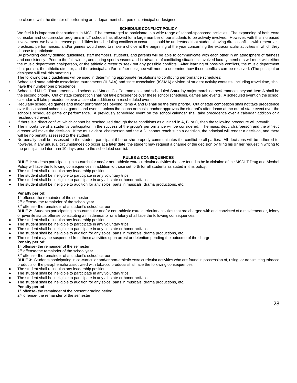be cleared with the director of performing arts, department chairperson, principal or designee.

#### **SCHEDULE CONFLICT POLICY**

We feel it is important that students in MSDLT be encouraged to participate in a wide range of school-sponsored activities. The expanding of both extra curricular and co-curricular programs in LT schools has allowed for a large number of our students to be actively involved. However, with this increased involvement, we have increased possibilities for scheduling conflicts to occur. It should be understood that students having direct conflicts with rehearsals, practices, performances, and/or games would need to make a choice at the beginning of the year concerning the extracurricular activities in which they choose to participate.

By providing clearly defined guidelines, staff members, students, and parents will be able to communicate with each other in an atmosphere of fairness and consistency. Prior to the fall, winter, and spring sport seasons and in advance of conflicting situations, involved faculty members will meet with either the music department chairperson, or the athletic director to seek out any possible conflicts. After learning of possible conflicts, the music department chairperson, the athletic director, and the principal and/or his/her designee will meet to determine how these conflicts can be resolved. (The principal or designee will call this meeting.)

The following basic guidelines will be used in determining appropriate resolutions to conflicting performance schedules:

- Scheduled state athletic association tournaments (IHSAA) and state association (ISSMA) division of student activity contests, including travel time, shall have the number one precedence.
- Scheduled M.I.C. Tournaments and scheduled Marion Co. Tournaments, and scheduled Saturday major marching performances beyond Item A shall be the second priority. Out of state competition shall not take precedence over these school schedules, games and events. A scheduled event on the school calendar will take precedence over a calendar addition or a rescheduled event.
- Regularly scheduled games and major performances beyond Items A and B shall be the third priority. Out of state competition shall not take precedence over these school schedules, games and events, unless the coach or music teacher approves the student's attendance at the out of state event over the school's scheduled game or performance. A previously scheduled event on the school calendar shall take precedence over a calendar addition or a rescheduled event.
- If there is a direct conflict, which cannot be rescheduled through those conditions as outlined in A, B, or C, then the following procedure will prevail:
- The importance of a student's participation in the success of the group's performance will be considered. The music dept, chairperson and the athletic director will make the decision. If the music dept. chairperson and the A.D. cannot reach such a decision, the principal will render a decision, and there will be no penalty assessed to the student.
- No penalty shall be assessed to the student participant if he or she properly communicates the conflict to all parties. All decisions will be adhered to: however, if any unusual circumstances do occur at a later date, the student may request a change of the decision by filing his or her request in writing to the principal no later than 10 days prior to the scheduled conflict.

#### **RULES & CONSEQUENCES**

**RULE 1**: students participating in co-curricular and/or non-athletic extra curricular activities that are found to be in violation of the MSDLT Drug and Alcohol Policy will face the following consequences in addition to those set forth for all students as stated in this policy:

- The student shall relinquish any leadership position.
- The student shall be ineligible to participate in any voluntary trips.
- The student shall be ineligible to participate in any all-state or honor activities.
- The student shall be ineligible to audition for any solos, parts in musicals, drama productions, etc.

#### **Penalty period**:

1<sup>st</sup> offense-the remainder of the semester

2<sup>nd</sup> offense- the remainder of the school year

3<sup>rd</sup> offense- the remainder of a student's school career

**RULE 2:** Students participating in co-curricular and/or non-athletic extra curricular activities that are charged with and convicted of a misdemeanor, felony or juvenile status offense constituting a misdemeanor or a felony shall face the following consequences:

- The student shall relinquish any leadership position.
- The student shall be ineligible to participate in any voluntary trips.
- The student shall be ineligible to participate in any all-state or honor activities.
- The student shall be ineligible to audition for any solos, parts in musicals, drama productions, etc.
- The student may be suspended from these activities upon arrest or detention pending the outcome of the charge.

#### **Penalty period**:

1<sup>st</sup> offense- the remainder of the semester

2<sup>nd</sup> offense-the remainder of the school year

3<sup>rd</sup> offense- the remainder of a student's school career

**RULE 3**: Students participating in co-curricular and/or non-athletic extra curricular activities who are found in possession of, using, or transmitting tobacco products or the paraphernalia associated with tobacco products shall face the following consequences:

- The student shall relinquish any leadership position.
- The student shall be ineligible to participate in any voluntary trips.
- The student shall be ineligible to participate in any all-state or honor activities.
- The student shall be ineligible to audition for any solos, parts in musicals, drama productions, etc.
	- **Penalty period**:
	- 1<sup>st</sup> offense- the remainder of the present grading period
	- 2<sup>nd</sup> offense- the remainder of the semester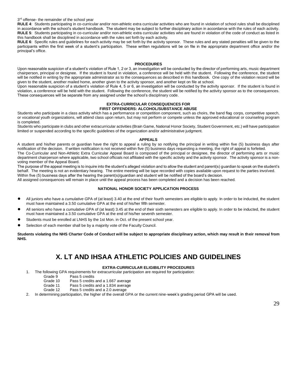3<sup>rd</sup> offense- the remainder of the school year

**RULE 4**: Students participating in co-curricular and/or non-athletic extra curricular activities who are found in violation of school rules shall be disciplined in accordance with the school's student handbook. The student may be subject to further disciplinary action in accordance with the rules of each activity. **RULE 5**: Students participating in co-curricular and/or non-athletic extra curricular activities who are found in violation of the code of conduct as listed in this handbook shall be disciplined in accordance with the rules set forth by each activity.

**RULE 6**: Specific rules and guidelines for each activity may be set forth by the activity sponsor. These rules and any stated penalties will be given to the participants within the first week of a student's participation. These written regulations will be on file in the appropriate department office and/or the principal's office.

#### **PROCEDURES**

Upon reasonable suspicion of a student's violation of Rule 1, 2 or 3, an investigation will be conducted by the director of performing arts, music department chairperson, principal or designee. If the student is found in violation, a conference will be held with the student. Following the conference, the student will be notified in writing by the appropriate administrator as to the consequences as described in this handbook. One copy of the violation record will be given to the student, another mailed home, another given to the activity sponsor, and another kept on file at school.

Upon reasonable suspicion of a student's violation of Rule 4, 5 or 6, an investigation will be conducted by the activity sponsor. If the student is found in violation, a conference will be held with the student. Following the conference, the student will be notified by the activity sponsor as to the consequences. These consequences will be separate from any assigned under the school's disciplinary code.

#### **EXTRA-CURRICULAR CONSEQUENCES FOR FIRST OFFENDERS: ALCOHOL/SUBSTANCE ABUSE**

Students who participate in a class activity which has a performance or competition component, such as choirs, the band flag corps, competitive speech, or vocational youth organizations, will attend class upon return, but may not perform or compete unless the approved educational or counseling program is completed.

Students who participate in clubs and other extracurricular activities (Brain Game, National Honor Society, Student Government, etc.) will have participation limited or suspended according to the specific guidelines of the organization and/or administrative judgment.

#### **APPEALS**

A student and his/her parents or guardian have the right to appeal a ruling by so notifying the principal in writing within five (5) business days after notification of the decision. If written notification is not received within five (5) business days requesting a meeting, the right of appeal is forfeited. The Co-Curricular and Non-Athletic Extra Curricular Appeal Board is composed of the principal or designee, the director of performing arts or music department chairperson where applicable, two school officials not affiliated with the specific activity and the activity sponsor. The activity sponsor is a nonvoting member of the Appeal Board.

The purpose of the appeal meeting is to inquire into the student's alleged violation and to allow the student and parent(s) guardian to speak on the student's behalf. The meeting is not an evidentiary hearing. The entire meeting will be tape recorded with copies available upon request to the parties involved. Within five (5) business days after the hearing the parent(s)/guardian and student will be notified of the board's decision.

All assigned consequences will remain in place until the appeal process has been completed and a decision has been reached.

#### **NATIONAL HONOR SOCIETY APPLICATION PROCESS**

- All juniors who have a *cumulative GPA* of (at least) 3.40 at the end of their fourth semesters are eligible to apply. In order to be inducted, the student must have maintained a 3.50 cumulative GPA at the end of his/her fifth semester.
- All seniors who have a *cumulative GPA* of (at least) 3.45 at the end of their sixth semesters are eligible to apply. In order to be inducted, the student must have maintained a 3.50 cumulative GPA at the end of his/her seventh semester.
- Students must be enrolled at LNHS by the 1st Mon. in Oct. of the present school year.
- Selection of each member shall be by a majority vote of the Faculty Council.

**Students violating the NHS Charter Code of Conduct will be subject to appropriate disciplinary action, which may result in their removal from NHS.**

### **X. LT AND IHSAA ATHLETIC POLICIES AND GUIDELINES**

#### **EXTRA-CURRICULAR ELIGIBILITY PROCEDURES**

- 1. The following GPA requirements for extracurricular participation are required for participation:
	- Grade 9 Pass 5 credits
	- Grade 10 Pass 5 credits and a 1.667 average
	- Grade 11 Pass 5 credits and a 1.834 average
	- Grade 12 Pass 5 credits and a 2.0 average
- 2. In determining participation, the higher of the overall GPA or the current nine-week's grading period GPA will be used.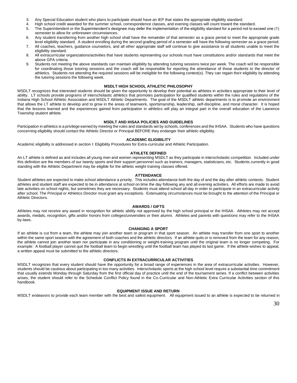- 3. Any Special Education student who plans to participate should have an IEP that states the appropriate eligibility standard.
- 4. High school credit awarded for the summer school, correspondence classes, and evening classes will count toward the standard.<br>5. The Superintendent or the Superintendent's designee may defer the implementation of the el
- 5. The Superintendent or the Superintendent's designee may defer the implementation of the eligibility standard for a period not to exceed one (1) semester to allow for unforeseen circumstances.
- 6. Any student transferring from another high school shall have the remainder of that semester as a grace period to meet the appropriate grade level eligibility standard. A student enrolling during the second grading period of a semester will have the following semester as a grace period.
- 7. All coaches, teachers, guidance counselors, and all other appropriate staff will continue to give assistance to all students unable to meet the eligibility standard.
- 8. All extracurricular organizations/activities that have students representing our schools must have constitutions and/or standards that meet the above GPA criteria.
- 9. Students not meeting the above standards can maintain eligibility by attending tutoring sessions twice per week. The coach will be responsible for coordinating those tutoring sessions and the coach will be responsible for reporting the attendance of those students to the director of athletics. Students not attending the required sessions will be ineligible for the following contest(s). They can regain their eligibility by attending the tutoring sessions the following week.

#### **MSDLT HIGH SCHOOL ATHLETIC PHILOSOPHY**

MSDLT recognizes that interested students should be given the opportunity to develop their potential as athletes in activities appropriate to their level of ability. LT schools provide programs of interscholastic athletics that promotes participation for qualified students within the rules and regulations of the Indiana High School Athletic Association and MSDLT Athletic Departments. The goal of the MSDLT athletic departments is to promote an environment that allows the LT athlete to develop and to grow in the areas of teamwork, sportsmanship, leadership, self-discipline, and moral character. It is hoped that the lessons learned and the experiences gained from participation in athletics will play an integral part in the overall education of the Lawrence Township student athlete.

#### **MSDLT AND IHSAA POLICIES AND GUIDELINES**

Participation in athletics is a privilege earned by meeting the rules and standards set by schools, conferences and the IHSAA. Students who have questions concerning eligibility should contact the Athletic Director or Principal BEFORE they endanger their athletic eligibility.

#### **ACADEMIC ELIGIBILITY**

Academic eligibility is addressed in section I: Eligibility Procedures for Extra-curricular and Athletic Participation.

#### **ATHLETE DEFINED**

An LT athlete is defined as and includes all young men and women representing MSDLT as they participate in interscholastic competition. Included under this definition are the members of our twenty sports and their support personnel such as trainers, managers, statisticians, etc. Students currently in good standing with the Athletic Department may be eligible for the athletic weight training classes offered.

#### **ATTENDANCE**

Student athletes are expected to make school attendance a priority. This includes attendance both the day of and the day after athletic contests. Student athletes and student staff are expected to be in attendance at school on time the day following any and all evening activities. All efforts are made to avoid late activities on school nights, but sometimes they are necessary. Students must attend school all day in order to participate in an extracurricular activity after school. The Principal or Athletics Director must grant any exceptions. Extenuating circumstances must be brought to the attention of the Principal or Athletic Directors.

#### **AWARDS / GIFTS**

Athletes may not receive any award in recognition for athletic ability not approved by the high school principal or the IHSAA. Athletes may not accept awards, medals, recognition, gifts and/or honors from colleges/universities or their alumni. Athletes and parents with questions may refer to the IHSAA by-laws.

#### **CHANGING A SPORT**

If an athlete is cut from a team, the athlete may join another team or program in that sport season. An athlete may transfer from one sport to another within the same sport season with the agreement of both coaches and the athletic directors. If an athlete quits or is removed from the team for any reason, the athlete cannot join another team nor participate in any conditioning or weight-training program until the original team is no longer competing. For example: A football player cannot quit the football team to begin wrestling until the football team has played its last game. If the athlete wishes to appeal, a written appeal must be submitted to the athletic directors.

#### **CONFLICTS IN EXTRACURRICULAR ACTIVITIES**

MSDLT recognizes that every student should have the opportunity for a broad range of experiences in the area of extracurricular activities. However, students should be cautious about participating in too many activities. Interscholastic sports at the high school level require a substantial time commitment that usually extends Monday through Saturday from the first official day of practice until the end of the tournament series. If a conflict between activities arises, the student should refer to the Schedule Conflict Policy found in the Co-Curricular and Non-Athletic Extra Curricular Activities section of this handbook.

#### **EQUIPMENT ISSUE AND RETURN**

MSDLT endeavors to provide each team member with the best and safest equipment. All equipment issued to an athlete is expected to be returned in

30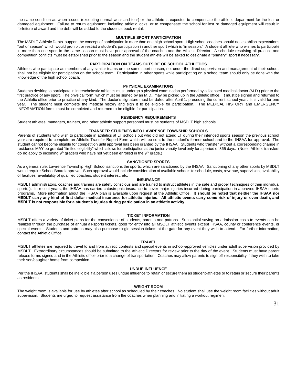the same condition as when issued (excepting normal wear and tear) or the athlete is expected to compensate the athletic department for the lost or damaged equipment. Failure to return equipment, including athletic locks, or to compensate the school for lost or damaged equipment will result in forfeiture of award and the debt will be added to the student's book rental.

#### **MULTIPLE SPORT PARTICIPATION**

The MSDLT Athletic Depts. support the concept of participation in more than one high school sport. High school coaches should not establish expectations "out of season" which would prohibit or restrict a student's participation in another sport which is "in season." A student athlete who wishes to participate in more than one sport in the same season must have prior approval of the coaches and the Athletic Director. A schedule resolving all practice and competition conflicts must be established prior to the season and the student athlete will be asked to designate a "primary" sport if necessary.

#### **PARTICIPATION ON TEAMS OUTSIDE OF SCHOOL ATHLETICS**

Athletes who participate as members of any similar teams on the same sport season, not under the direct supervision and management of their school, shall not be eligible for participation on the school team. Participation in other sports while participating on a school team should only be done with the knowledge of the high school coach.

#### **PHYSICAL EXAMINATIONS**

Students desiring to participate in interscholastic athletics must undergo a physical examination performed by a licensed medical doctor (M.D.) prior to the first practice of any sport. The physical form, which must be signed by an M.D., may be picked up in the Athletic office. It must be signed and returned to the Athletic office prior to practice of any kind. The doctor's signature must be dated after April 1, preceding the current school year. It is valid for one year. The student must complete the medical history and sign it to be eligible for participation. The MEDICAL HISTORY and EMERGENCY INFORMATION forms must be completed and returned to be eligible for participation.

#### **RESIDENCY REQUIREMENTS**

Student athletes, managers, trainers, and other athletic support personnel must be students of MSDLT high schools.

#### **TRANSFER STUDENTS INTO LAWRENCE TOWNSHIP SCHOOLS**

Parents of students who wish to participate in athletics at LT schools but who did not attend LT during their intended sports season the previous school year are required to complete an Athletic Transfer Report Form which will be sent to the student's former school and to the IHSAA for approval. The student cannot become eligible for competition until approval has been granted by the IHSAA. Students who transfer without a corresponding change in residence MAY be granted "limited eligibility" which allows for participation at the junior varsity level only for a period of 365 days. (Note: Athletic transfers do no apply to incoming  $9<sup>th</sup>$  graders who have not yet been enrolled in the  $9<sup>th</sup>$  grade.)

#### **SANCTIONED SPORTS**

As a general rule, Lawrence Township High School sanctions the sports, which are sanctioned by the IHSAA. Sanctioning of any other sports by MSDLT would require School Board approval. Such approval would include consideration of available schools to schedule, costs, revenue, supervision, availability of facilities, availability of qualified coaches, student interest, etc.

#### **INSURANCE**

MSDLT administrators, coaches and trainers are safety conscious and are trained to instruct athletes in the safe and proper techniques of their individual sport(s). In recent years, the IHSAA has carried catastrophic insurance to cover major injuries incurred during participation in approved IHSAA sports programs. More information about the IHSAA plan is available upon request at the Athletic Office. **It should be noted that neither the IHSAA nor MSDLT carry any kind of first dollar medical insurance for athletic injuries. All athletic events carry some risk of injury or even death, and MSDLT is not responsible for a student's injuries during participation in an athletic activity**

#### **TICKET INFORMATION**

MSDLT offers a variety of ticket plans for the convenience of students, parents and patrons. Substantial saving on admission costs to events can be realized through the purchase of annual all-sports tickets, good for entry into all MSDLT athletic events except IHSAA, county or conference events, or special events. Students and patrons may also purchase single session tickets at the gate for any event they wish to attend. For further information, contact the Athletic Office.

#### **TRAVEL**

MSDLT athletes are required to travel to and from athletic contests and special events in school-approved vehicles under adult supervision provided by MSDLT. Extraordinary circumstances should be submitted to the Athletic Directors for review prior to the day of the event. Students must have parent release forms signed and in the Athletic office prior to a change of transportation. Coaches may allow parents to sign off responsibility if they wish to take their son/daughter home from competition.

#### **UNDUE INFLUENCE**

Per the IHSAA, students shall be ineligible if a person uses undue influence to retain or secure them as student-athletes or to retain or secure their parents as residents.

#### **WEIGHT ROOM**

The weight room is available for use by athletes after school as scheduled by their coaches. No student shall use the weight room facilities without adult supervision. Students are urged to request assistance from the coaches when planning and initiating a workout regimen.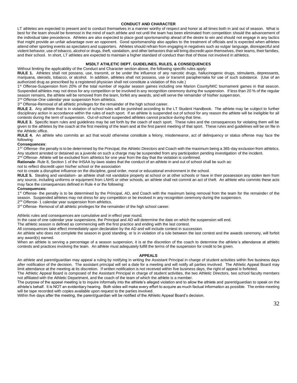#### **CONDUCT AND CHARACTER**

LT athletes are expected to present and to conduct themselves in a manner worthy of respect and honor at all times both in and out of season. What is best for the team should be foremost in the mind of each athlete and not until the team has been eliminated from competition should the advancement of the individual take precedence. Athletes are also expected to place good sportsmanship ahead of the desire to win and should not engage in any tactics that might provide an unfair advantage over an opponent. Good sportsmanship also applies to the treatment of officials and is expected when athletes attend other sporting events as spectators and supporters. Athletes should refrain from engaging in negatives such as vulgar language, disrespectful and violent behavior, use of tobacco, alcohol or drugs, theft, vandalism, and other behaviors that will bring discredit upon themselves, their teams, their families, and their school. In short, LT athletes are expected to maintain a higher standard of conduct than that of those not involved in athletics.

#### **MSDLT ATHLETIC DEPT. GUIDELINES, RULES, & CONSEQUENCES**

Without limiting the applicability of the Conduct and Character section above, the following specific rules apply:

**RULE 1.** Athletes shall not possess, use, transmit, or be under the influence of any narcotic drugs, hallucinogenic drugs, stimulants, depressants, marijuana, steroids, tobacco, or alcohol. In addition, athletes shall not possess, use or transmit paraphernalia for use of such substance. (Use of an authorized drug as prescribed by a registered physician shall not constitute a violation of this rule.)

1<sup>st</sup> Offense-Suspension from 20% of the total number of regular season games including one Marion County/MIC tournament games in that season. Suspended athletes may not dress for any competition or be involved in any recognition ceremony during the suspension. If less than 20 % of the regular season remains, the athlete will be removed from the team, forfeit any awards, and will serve the remainder of his/her suspension.

2<sup>nd</sup> Offense-One calendar year suspension from athletics.

3<sup>rd</sup> Offense-Removal of all athletic privileges for the remainder of the high school career.

**RULE 2.** Any athlete that is in violation of school rules will be punished according to the LT Student Handbook. The athlete may be subject to further disciplinary action in accordance within the rules of each sport. If an athlete is suspended out of school for any reason the athlete will be ineligible for all contests during the term of suspension. Out-of-school suspended athletes cannot practice during that time.

**RULE 3.** Specific team rules and guidelines may be set forth by the coach of each sport. These rules and the consequences for violating them will be given to the athletes by the coach at the first meeting of the team and at the first parent meeting of that sport. These rules and guidelines will be on file in the Athletic office.

**RULE 4.** An athlete who commits an act that would otherwise constitute a felony, misdemeanor, act of delinquency or status offense may face the following:

#### **Consequences**:

1<sup>ST</sup> Offense- the penalty is to be determined by the Principal, the Athletic Directors and Coach with the maximum being a 365-day exclusion from athletics. Any student arrested or detained as a juvenile on such a charge may be suspended from any participation pending investigation of the incident.

2<sup>nd</sup> Offense- Athlete will be excluded from athletics for one year from the day that the violation is confirmed.

**Rationale**- Rule 8, Section 1 of the IHSAA by-laws states that the conduct of an athlete in and out of school shall be such as:

not to reflect discredit upon his/her school or the association

not to create a disruptive influence on the discipline, good order, moral or educational environment in the school.

**RULE 5.** Stealing and vandalism- an athlete shall not vandalize property at school or at other schools or have in their possession any stolen item from any source, including uniforms or equipment from LNHS or other schools, an athlete shall not commit an act of theft. An athlete who commits these acts may face the consequences defined in Rule 4 or the following:

#### **Consequences:**

1<sup>st</sup> Offense- the penalty is to be determined by the Principal, AD, and Coach with the maximum being removal from the team for the remainder of the season. Suspended athletes may not dress for any competition or be involved in any recognition ceremony during the suspension.

2<sup>nd</sup> Offense- 1 calendar year suspension from athletics.

3<sup>rd</sup> Offense- Removal of all athletic privileges for the remainder of the high school career.

Athletic rules and consequences are cumulative and in effect year round.

In the case of one calendar year suspensions, the Principal and AD will determine the date on which the suspension will end.

The athletic season is defined as commencing with the first practice and ending with the last contest.

All consequences take effect immediately upon declaration by the AD and will include contest in succession.

An athlete who does not complete the season in good standing, or is in violation of a rule between the last contest and the awards ceremony, will forfeit any award(s) earned.

When an athlete is serving a percentage of a season suspension, it is at the discretion of the coach to determine the athlete's attendance at athletic contests and practices involving the team. An athlete must adequately fulfill the terms of the suspension for credit to be given.

#### **APPEALS**

An athlete and parent/guardian may appeal a ruling by notifying in writing the Assistant Principal in charge of student activities within five business days after notification of the decision. The assistant principal will set a date for a meeting and will notify all parties involved. The Athletic Appeal Board may limit attendance at the meeting at its discretion. If written notification is not received within five business days, the right of appeal is forfeited.

The Athletic Appeal Board is composed of the Assistant Principal in charge of student activities, the two Athletic Directors, two school faculty members not affiliated with the Athletic Department, and the coach of the team of which the athlete is a member.

The purpose of the appeal meeting is to inquire informally into the athlete's alleged violation and to allow the athlete and parent/guardian to speak on the athlete's behalf. It is NOT an evidentiary hearing. Both sides will make every effort to acquire as much factual information as possible. The entire meeting will be tape recorded with copies available upon request to the parties involved.

Within five days after the meeting, the parent/guardian will be notified of the Athletic Appeal Board's decision.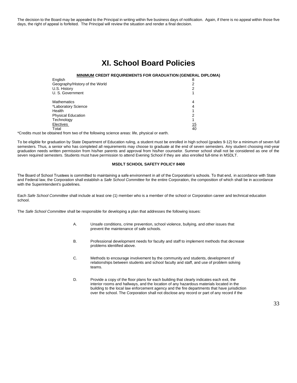The decision to the Board may be appealed to the Principal in writing within five business days of notification. Again, if there is no appeal within those five days, the right of appeal is forfeited. The Principal will review the situation and render a final decision.

### **XI. School Board Policies**

#### **MINIMUM CREDIT REQUIREMENTS FOR GRADUATION (GENERAL DIPLOMA)**

| 8  |
|----|
|    |
| ◠  |
|    |
| 4  |
| 4  |
|    |
|    |
|    |
| 15 |
| 40 |
|    |

\*Credits must be obtained from two of the following science areas: life, physical or earth.

To be eligible for graduation by State Department of Education ruling, a student must be enrolled in high school (grades 9-12) for a minimum of seven full semesters. Thus, a senior who has completed all requirements may choose to graduate at the end of seven semesters. Any student choosing mid-year graduation needs written permission from his/her parents and approval from his/her counselor. Summer school shall not be considered as one of the seven required semesters. Students must have permission to attend Evening School if they are also enrolled full-time in MSDLT.

#### **MSDLT SCHOOL SAFETY POLICY 8400**

The Board of School Trustees is committed to maintaining a safe environment in all of the Corporation's schools. To that end, in accordance with State and Federal law, the Corporation shall establish a *Safe School Committee* for the entire Corporation, the composition of which shall be in accordance with the Superintendent's guidelines.

Each *Safe School Committee* shall include at least one (1) member who is a member of the school or Corporation career and technical education school.

The *Safe School Committee* shall be responsible for developing a plan that addresses the following issues:

- A. Unsafe conditions, crime prevention, school violence, bullying, and other issues that prevent the maintenance of safe schools.
- B. Professional development needs for faculty and staff to implement methods that decrease problems identified above.
- C. Methods to encourage involvement by the community and students, development of relationships between students and school faculty and staff, and use of problem solving teams.
- D. Provide a copy of the floor plans for each building that clearly indicates each exit, the interior rooms and hallways, and the location of any hazardous materials located in the building to the local law enforcement agency and the fire departments that have jurisdiction over the school. The Corporation shall not disclose any record or part of any record if the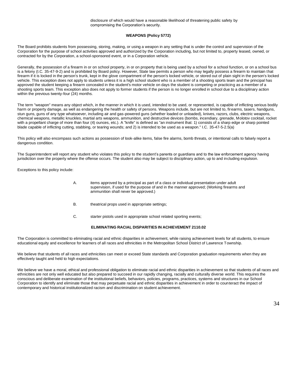disclosure of which would have a reasonable likelihood of threatening public safety by compromising the Corporation's security.

#### **WEAPONS (Policy 5772)**

The Board prohibits students from possessing, storing, making, or using a weapon in any setting that is under the control and supervision of the Corporation for the purpose of school activities approved and authorized by the Corporation including, but not limited to, property leased, owned, or contracted for by the Corporation, a school-sponsored event, or in a Corporation vehicle.

Generally, the possession of a firearm in or on school property, in or on property that is being used by a school for a school function, or on a school bus is a felony (I.C. 35-47-9-2) and is prohibited by Board policy. However, State law permits a person who may legally possess a firearm to maintain that firearm if it is locked in the person's trunk, kept in the glove compartment of the person's locked vehicle, or stored out of plain sight in the person's locked vehicle. This exception does not apply to students unless it is a high school student who is a member of a shooting sports team and the principal has approved the student keeping a firearm concealed in the student's motor vehicle on days the student is competing or practicing as a member of a shooting sports team. This exception also does not apply to former students if the person is no longer enrolled in school due to a disciplinary action within the previous twenty-four (24) months.

The term "weapon" means any object which, in the manner in which it is used, intended to be used, or represented, is capable of inflicting serious bodily harm or property damage, as well as endangering the health or safety of persons. Weapons include, but are not limited to, firearms, tasers, handguns, stun guns, guns of any type whatsoever, including air and gas-powered guns (whether loaded or unloaded), knives, razors, clubs, electric weapons, chemical weapons, metallic knuckles, martial arts weapons, ammunition, and destructive devices (bombs, incendiary, grenade, Molotov cocktail, rocket with a propellant charge of more than four (4) ounces, etc.). A "knife" is defined as "an instrument that: 1) consists of a sharp edge or sharp pointed blade capable of inflicting cutting, stabbing, or tearing wounds; and 2) is intended to be used as a weapon." I.C. 35-47-5-2.5(a)

This policy will also encompass such actions as possession of look-alike items, false fire alarms, bomb threats, or intentional calls to falsely report a dangerous condition.

The Superintendent will report any student who violates this policy to the student's parents or guardians and to the law enforcement agency having jurisdiction over the property where the offense occurs. The student also may be subject to disciplinary action, up to and including expulsion.

Exceptions to this policy include:

- A. items approved by a principal as part of a class or individual presentation under adult supervision, if used for the purpose of and in the manner approved; (Working firearms and ammunition shall never be approved.)
- B. theatrical props used in appropriate settings;
- C. starter pistols used in appropriate school related sporting events;

#### **ELIMINATING RACIAL DISPARITIES IN ACHIEVEMENT 2110.02**

The Corporation is committed to eliminating racial and ethnic disparities in achievement, while raising achievement levels for all students, to ensure educational equity and excellence for learners of all races and ethnicities in the Metropolitan School District of Lawrence Township.

We believe that students of all races and ethnicities can meet or exceed State standards and Corporation graduation requirements when they are effectively taught and held to high expectations.

We believe we have a moral, ethical and professional obligation to eliminate racial and ethnic disparities in achievement so that students of all races and ethnicities are not only well educated but also prepared to succeed in our rapidly changing, racially and culturally diverse world. This requires the conscious and deliberate examination of the institutional beliefs, behaviors, policies, programs, practices, systems and structures in our School Corporation to identify and eliminate those that may perpetuate racial and ethnic disparities in achievement in order to counteract the impact of contemporary and historical institutionalized racism and discrimination on student achievement.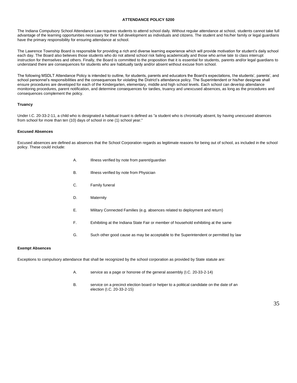#### **ATTENDANCE POLICY 5200**

The Indiana Compulsory School Attendance Law requires students to attend school daily. Without regular attendance at school, students cannot take full advantage of the learning opportunities necessary for their full development as individuals and citizens. The student and his/her family or legal guardians have the primary responsibility for ensuring attendance at school.

The Lawrence Township Board is responsible for providing a rich and diverse learning experience which will provide motivation for student's daily school each day. The Board also believes those students who do not attend school risk failing academically and those who arrive late to class interrupt instruction for themselves and others. Finally, the Board is committed to the proposition that it is essential for students, parents and/or legal guardians to understand there are consequences for students who are habitually tardy and/or absent without excuse from school.

The following MSDLT Attendance Policy is intended to outline, for students, parents and educators the Board's expectations, the students', parents', and school personnel's responsibilities and the consequences for violating the District's attendance policy. The Superintendent or his/her designee shall ensure procedures are developed for each of the Kindergarten, elementary, middle and high school levels. Each school can develop attendance monitoring procedures, parent notification, and determine consequences for tardies, truancy and unexcused absences, as long as the procedures and consequences complement the policy.

#### **Truancy**

Under I.C. 20-33-2-11, a child who is designated a habitual truant is defined as "a student who is chronically absent, by having unexcused absences from school for more than ten (10) days of school in one (1) school year."

#### **Excused Absences**

Excused absences are defined as absences that the School Corporation regards as legitimate reasons for being out of school, as included in the school policy. These could include:

- A. Illness verified by note from parent/guardian
- B. **Illness verified by note from Physician**
- C. Family funeral
- D. Maternity
- E. Military Connected Families (e.g. absences related to deployment and return)
- F. Exhibiting at the Indiana State Fair or member of household exhibiting at the same
- G. Such other good cause as may be acceptable to the Superintendent or permitted by law

#### **Exempt Absences**

Exceptions to compulsory attendance that shall be recognized by the school corporation as provided by State statute are:

- A. service as a page or honoree of the general assembly (I.C. 20-33-2-14)
- B. service on a precinct election board or helper to a political candidate on the date of an election (I.C. 20-33-2-15)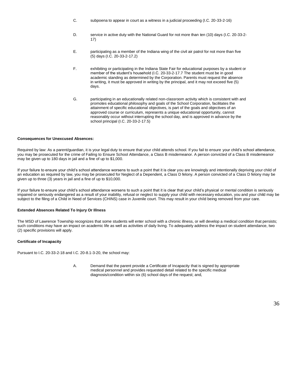- C. subpoena to appear in court as a witness in a judicial proceeding (I.C. 20-33-2-16)
- D. service in active duty with the National Guard for not more than ten (10) days (I.C. 20-33-2- 17)
- E. participating as a member of the Indiana wing of the civil air patrol for not more than five (5) days (I.C. 20-33-2-17.2)
- F. exhibiting or participating in the Indiana State Fair for educational purposes by a student or member of the student's household (I.C. 20-33-2-17.7 The student must be in good academic standing as determined by the Corporation. Parents must request the absence in writing, it must be approved in writing by the principal, and it may not exceed five (5) days.
- G. participating in an educationally related non-classroom activity which is consistent with and promotes educational philosophy and goals of the School Corporation, facilitates the attainment of specific educational objectives, is part of the goals and objectives of an approved course or curriculum, represents a unique educational opportunity, cannot reasonably occur without interrupting the school day, and is approved in advance by the school principal (I.C. 20-33-2-17.5)

#### **Consequences for Unexcused Absences:**

Required by law: As a parent/guardian, it is your legal duty to ensure that your child attends school. If you fail to ensure your child's school attendance, you may be prosecuted for the crime of Failing to Ensure School Attendance, a Class B misdemeanor. A person convicted of a Class B misdemeanor may be given up to 180 days in jail and a fine of up to \$1,000.

If your failure to ensure your child's school attendance worsens to such a point that it is clear you are knowingly and intentionally depriving your child of an education as required by law, you may be prosecuted for Neglect of a Dependent, a Class D felony. A person convicted of a Class D felony may be given up to three (3) years in jail and a fine of up to \$10,000.

If your failure to ensure your child's school attendance worsens to such a point that it is clear that your child's physical or mental condition is seriously impaired or seriously endangered as a result of your inability, refusal or neglect to supply your child with necessary education, you and your child may be subject to the filing of a Child in Need of Services (CHINS) case in Juvenile court. This may result in your child being removed from your care.

#### **Extended Absences Related To Injury Or Illness**

The MSD of Lawrence Township recognizes that some students will enter school with a chronic illness, or will develop a medical condition that persists; such conditions may have an impact on academic life as well as activities of daily living. To adequately address the impact on student attendance, two (2) specific provisions will apply.

#### **Certificate of Incapacity**

Pursuant to I.C. 20-33-2-18 and I.C. 20-8.1-3-20, the school may:

A. Demand that the parent provide a Certificate of Incapacity that is signed by appropriate medical personnel and provides requested detail related to the specific medical diagnosis/condition within six (6) school days of the request; and,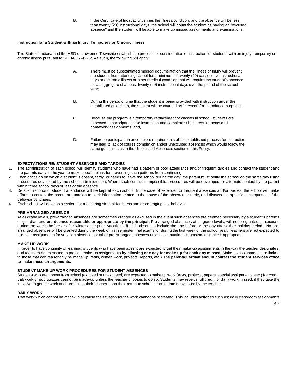B. If the Certificate of Incapacity verifies the illness/condition, and the absence will be less than twenty (20) instructional days, the school will count the student as having an "excused absence" and the student will be able to make up missed assignments and examinations.

#### **Instruction for a Student with an Injury, Temporary or Chronic Illness**

The State of Indiana and the MSD of Lawrence Township establish the process for consideration of instruction for students with an injury, temporary or chronic illness pursuant to 511 IAC 7-42-12. As such, the following will apply:

- A. There must be substantiated medical documentation that the illness or injury will prevent the student from attending school for a minimum of twenty (20) consecutive instructional days or a chronic illness or other medical condition that will require the student's absence for an aggregate of at least twenty (20) instructional days over the period of the school year;
- B. During the period of time that the student is being provided with instruction under the established guidelines, the student will be counted as "present" for attendance purposes;
- C. Because the program is a temporary replacement of classes in school, students are expected to participate in the instruction and complete subject requirements and homework assignments; and,
- D. Failure to participate in or complete requirements of the established process for instruction may lead to lack of course completion and/or unexcused absences which would follow the same guidelines as in the Unexcused Absences section of this Policy.

#### **EXPECTATIONS RE: STUDENT ABSENCES AND TARDIES**

- 1. The administration of each school will identify students who have had a pattern of poor attendance and/or frequent tardies and contact the student and the parents early in the year to make specific plans for preventing such patterns from continuing.
- 2. Each occasion on which a student is absent, tardy, or needs to leave the school during the day, the parent must notify the school on the same day using procedures developed by the school administration. Where such contact is impossible, procedures will be developed for alternate contact by the parent within three school days or less of the absence.
- 3. Detailed records of student attendance will be kept at each school. In the case of extended or frequent absences and/or tardies, the school will make efforts to contact the parent or guardian to seek information related to the cause of the absence or tardy, and discuss the specific consequences if the behavior continues.
- 4. Each school will develop a system for monitoring student tardiness and discouraging that behavior.

#### **PRE-ARRANGED ABSENCE**

At all grade levels, pre-arranged absences are sometimes granted as excused in the event such absences are deemed necessary by a student's parents or guardian **and are deemed reasonable or appropriate by the principal**. Pre-arranged absences at all grade levels, will not be granted as excused during the weeks before or after winter and spring vacations, if such absences include the day before or the day after either holiday period. No prearranged absences will be granted during the week of first semester final exams, or during the last week of the school year. Teachers are not expected to pre-plan assignments for vacation absences or other pre-arranged absences unless extenuating circumstances make it appropriate.

#### **MAKE-UP WORK**

In order to have continuity of learning, students who have been absent are expected to get their make-up assignments in the way the teacher designates, and teachers are expected to provide make-up assignments **by allowing one day for make-up for each day missed**. Make up assignments are limited to those that can reasonably be made up (tests, written work, projects, reports, etc.) **The parent/guardian should contact the student services office to make these arrangements.**

#### **STUDENT MAKE-UP WORK PROCEDURES FOR STUDENT ABSENCES**

Students who are absent from school (excused or unexcused) are expected to make up work (tests, projects, papers, special assignments, etc.) for credit. Lab work or pop quizzes cannot be made-up unless the teacher chooses to do so. Students may receive full credit for daily work missed, if they take the initiative to get the work and turn it in to their teacher upon their return to school or on a date designated by the teacher.

#### **DAILY WORK**

That work which cannot be made-up because the situation for the work cannot be recreated. This includes activities such as: daily classroom assignments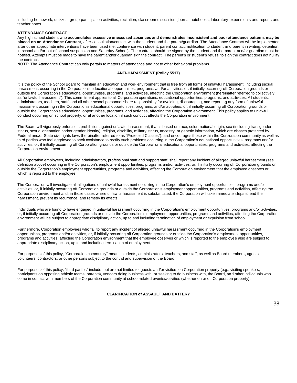including homework, quizzes, group participation activities, recitation, classroom discussion, journal notebooks, laboratory experiments and reports and teacher notes.

#### **ATTENDANCE CONTRACT**

Any high school student who **accumulates excessive unexcused absences and demonstrates inconsistent and poor attendance patterns may be placed on an Attendance Contract**, after consultation/contact with the student and the parent/guardian. The Attendance Contract will be implemented after other appropriate interventions have been used (i.e. conference with student, parent contact, notification to student and parent in writing, detention, in-school and/or out-of-school suspension and Saturday School). The contract should be signed by the student and the parent and/or guardian must be notified. Attempts must be made to have the parent and/or guardian sign the contract. The parent's or student's refusal to sign the contract does not nullify the contract.

**NOTE**: The Attendance Contract can only pertain to matters of attendance and not to other behavioral problems.

#### **ANTI-HARASSMENT (Policy 5517)**

It is the policy of the School Board to maintain an education and work environment that is free from all forms of unlawful harassment, including sexual harassment, occurring in the Corporation's educational opportunities, programs, and/or activities, or, if initially occurring off Corporation grounds or outside the Corporation's educational opportunities, programs, and activities, affecting the Corporation environment (hereinafter referred to collectively as "unlawful harassment"). This commitment applies to all Corporation operations, educational opportunities, programs, and activities. All students, administrators, teachers, staff, and all other school personnel share responsibility for avoiding, discouraging, and reporting any form of unlawful harassment occurring in the Corporation's educational opportunities, programs, and/or activities, or, if initially occurring off Corporation grounds or outside the Corporation's educational opportunities, programs, and activities, affecting the Corporation environment. This policy applies to unlawful conduct occurring on school property, or at another location if such conduct affects the Corporation environment.

The Board will vigorously enforce its prohibition against unlawful harassment, that is based on race, color, national origin, sex (including transgender status, sexual orientation and/or gender identity), religion, disability, military status, ancestry, or genetic information, which are classes protected by Federal and/or State civil rights laws (hereinafter referred to as "Protected Classes"), and encourages those within the Corporation community as well as third parties who feel aggrieved to seek assistance to rectify such problems occurring in the Corporation's educational opportunities, programs and/or activities, or, if initially occurring off Corporation grounds or outside the Corporation's educational opportunities, programs and activities, affecting the Corporation environment.

All Corporation employees, including administrators, professional staff and support staff, shall report any incident of alleged unlawful harassment (see definition above) occurring in the Corporation's employment opportunities, programs and/or activities, or, if initially occurring off Corporation grounds or outside the Corporation's employment opportunities, programs and activities, affecting the Corporation environment that the employee observes or which is reported to the employee.

The Corporation will investigate all allegations of unlawful harassment occurring in the Corporation's employment opportunities, programs and/or activities, or, if initially occurring off Corporation grounds or outside the Corporation's employment opportunities, programs and activities, affecting the Corporation environment and, in those cases where unlawful harassment is substantiated, the Corporation will take immediate steps to end the harassment, prevent its recurrence, and remedy its effects.

Individuals who are found to have engaged in unlawful harassment occurring in the Corporation's employment opportunities, programs and/or activities, or, if initially occurring off Corporation grounds or outside the Corporation's employment opportunities, programs and activities, affecting the Corporation environment will be subject to appropriate disciplinary action, up to and including termination of employment or expulsion from school.

Furthermore, Corporation employees who fail to report any incident of alleged unlawful harassment occurring in the Corporation's employment opportunities, programs and/or activities, or, if initially occurring off Corporation grounds or outside the Corporation's employment opportunities, programs and activities, affecting the Corporation environment that the employee observes or which is reported to the employee also are subject to appropriate disciplinary action, up to and including termination of employment.

For purposes of this policy, "Corporation community" means students, administrators, teachers, and staff, as well as Board members, agents, volunteers, contractors, or other persons subject to the control and supervision of the Board.

For purposes of this policy, "third parties" include, but are not limited to, guests and/or visitors on Corporation property (e.g., visiting speakers, participants on opposing athletic teams, parents), vendors doing business with, or seeking to do business with, the Board, and other individuals who come in contact with members of the Corporation community at school-related events/activities (whether on or off Corporation property).

**CLARIFICATION of ASSAULT AND BATTERY** 

38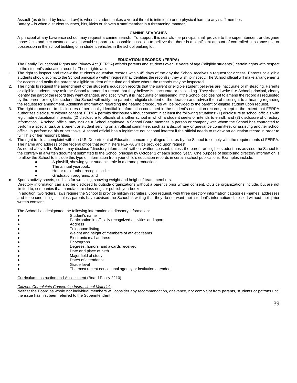Assault-(as defined by Indiana Law) is when a student makes a verbal threat to intimidate or do physical harm to any staff member. Battery – is when a student touches, hits, kicks or shoves a staff member in a threatening manner.

#### **CANINE SEARCHES**

A principal at any Lawrence school may request a canine search. To support this search, the principal shall provide to the superintendent or designee those facts and circumstances which would support a reasonable suspicion to believe that there is a significant amount of controlled substance use or possession in the school building or in student vehicles in the school parking lot.

#### **EDUCATION RECORDS (FERPA)**

The Family Educational Rights and Privacy Act (FERPA) affords parents and students over 18 years of age ("eligible students") certain rights with respect to the student's education records. These rights are:

- 1. The right to inspect and review the student's education records within 45 days of the day the School receives a request for access. Parents or eligible students should submit to the School principal a written request that identifies the record(s) they wish to inspect. The School official will make arrangements for access and notify the parent or eligible student of the time and place where the records may be inspected.
- 2. The rights to request the amendment of the student's education records that the parent or eligible student believes are inaccurate or misleading. Parents or eligible students may ask the School to amend a record that they believe is inaccurate or misleading. They should write the School principal, clearly identify the part of the record they want changed, and specify why it is inaccurate or misleading. If the School decides not to amend the record as requested by the parent or eligible student, the School will notify the parent or eligible student of the decision and advise them of their right to a hearing regarding the request for amendment. Additional information regarding the hearing procedures will be provided to the parent or eligible student upon request.
- 3. The right to consent to disclosures of personally identifiable information contained in the student's education records, except to the extent that FERPA authorizes disclosure without consent. FERPA permits disclosure without consent in at least the following situations: (1) disclosure to school officials with legitimate educational interests; (2) disclosure to officials of another school in which a student seeks or intends to enroll; and (3) disclosure of directory information. A school official may include a School employee, a School Board member, a person or company with whom the School has contracted to perform a special task or a parent or student serving on an official committee, such as a disciplinary or grievance committee, or assisting another school official in performing his or her tasks. A school official has a legitimate educational interest if the official needs to review an education record in order to fulfill his or her responsibilities.
- 4. The right to file a complaint with the U.S. Department of Education concerning alleged failures by the School to comply with the requirements of FERPA. The name and address of the federal office that administers FERPA will be provided upon request. As noted above, the School may disclose "directory information" without written consent, unless the parent or eligible student has advised the School to the contrary in a written document submitted to the School principal by October 1 of each school year. One purpose of disclosing directory information is to allow the School to include this type of information from your child's education records in certain school publications. Examples include:
	- A playbill, showing your student's role in a drama production;
	- The annual yearbook;
	- Honor roll or other recognition lists;
	- Graduation programs; and

Sports activity sheets, such as for wrestling, showing weight and height of team members.

Directory information can also be disclosed to outside organizations without a parent's prior written consent. Outside organizations include, but are not limited to, companies that manufacture class rings or publish yearbooks.

In addition, two federal laws require the School to provide military recruiters, upon request, with three directory information categories -names, addresses and telephone listings - unless parents have advised the School in writing that they do not want their student's information disclosed without their prior written consent.

The School has designated the following information as directory information:

- Student's name
- Participation in officially recognized activities and sports
- Address
- Telephone listing
- Weight and height of members of athletic teams
- **Electronic mail address**
- Photograph
- Degrees, honors, and awards received
- Date and place of birth
- Major field of study
- **Dates of attendance**
- Grade level
- The most recent educational agency or institution attended

Curriculum, Instruction and Assessment (Board Policy 2210)

*Citizens Complaints Concerning Instructional Materials*

Neither the Board as whole nor individual members will consider any recommendation, grievance, nor complaint from parents, students or patrons until the issue has first been referred to the Superintendent.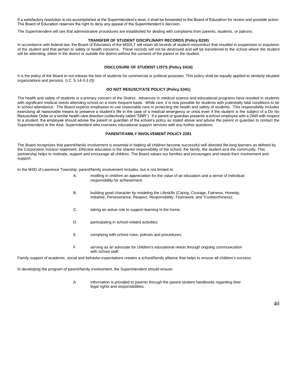If a satisfactory resolution is not accomplished at the Superintendent's level, it shall be forwarded to the Board of Education for review and possible action. The Board of Education reserves the right to deny any appeal of the Superintendent's decision.

The Superintendent will see that administrative procedures are established for dealing with complaints from parents, students, or patrons.

#### **TRANSFER OF STUDENT DISCIPLINARY RECORDS (Policy 8330)**

In accordance with federal law, the Board of Education of the MSDLT will retain all records of student misconduct that resulted in suspension or expulsion of the student and that pertain to safety or health concerns. These records will not be destroyed and will be transferred to the school where the student will be attending, either in the district or outside the district without the consent of the parent or the student.

#### **DISCLOSURE OF STUDENT LISTS (Policy 2416)**

It is the policy of the Board to not release the lists of students for commercial or political purposes. This policy shall be equally applied to similarly situated organizations and persons. (I.C. 5-14-3-3 (f))

#### **DO NOT RESUSCITATE POLICY (Policy 5341)**

The health and safety of students is a primary concern of the District. Advances in medical science and educational programs have resulted in students with significant medical needs attending school on a more frequent basis. While rare, it is now possible for students with potentially fatal conditions to be in school attendance. The Board expects employees to use reasonable care in protecting the health and safety of students. This responsibility includes exercising all reasonable means to preserve a student's life in the case of a medical emergency or crisis even if the student is the subject of a Do No Resuscitate Order or a similar health care direction (collectively called "DNR"). If a parent or guardian presents a school employee with a DNR with respect to a student, the employee should advise the parent or guardian of the school's policy as stated above and advise the parent or guardian to contact the Superintendent or the Asst. Superintendent who oversees educational support services with any further questions.

#### **PARENT/FAMILY INVOLVEMENT POLICY 2281**

The Board recognizes that parent/family involvement is essential in helping all children become successful self-directed life-long learners as defined by the Corporation mission statement. Effective education is the shared responsibility of the school, the family, the student and the community. This partnership helps to motivate, support and encourage all children. The Board values our families and encourages and needs their involvement and support.

In the MSD of Lawrence Township, parent/family involvement includes, but is not limited to:

- A. instilling in children an appreciation for the value of an education and a sense of individual responsibility for achievement;
- B. building good character by modeling the Lifeskills (Caring, Courage, Fairness, Honesty, Initiative, Perseverance, Respect, Responsibility, Teamwork, and Trustworthiness);
- C. taking an active role to support learning in the home;
- D. participating in school-related activities;
- E. complying with school rules, policies and procedures;
- F. serving as an advocate for children's educational needs through ongoing communication with school staff.

Family support of academic, social and behavior expectations creates a school/family alliance that helps to ensure all children's success.

In developing the program of parent/family involvement, the Superintendent should ensure:

A. information is provided to parents through the parent-student handbooks regarding their legal rights and responsibilities;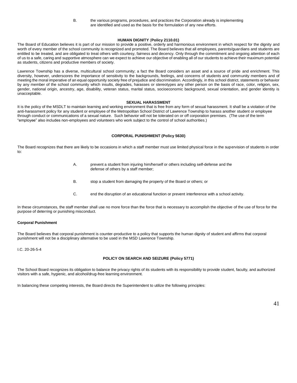B. the various programs, procedures, and practices the Corporation already is implementing are identified and used as the basis for the formulation of any new efforts.

#### **HUMAN DIGNITY** (**Policy 2110.01)**

The Board of Education believes it is part of our mission to provide a positive, orderly and harmonious environment in which respect for the dignity and worth of every member of the school community is recognized and promoted. The Board believes that all employees, parents/guardians and students are entitled to be treated, and are obligated to treat others with courtesy, fairness and decency. Only through the commitment and ongoing attention of each of us to a safe, caring and supportive atmosphere can we expect to achieve our objective of enabling all of our students to achieve their maximum potential as students, citizens and productive members of society.

Lawrence Township has a diverse, multicultural school community; a fact the Board considers an asset and a source of pride and enrichment. This diversity, however, underscores the importance of sensitivity to the backgrounds, feelings, and concerns of students and community members and of meeting the moral imperative of an equal opportunity society free of prejudice and discrimination. Accordingly, in this school district, statements or behavior by any member of the school community which insults, degrades, harasses or stereotypes any other person on the basis of race, color, religion, sex, gender, national origin, ancestry, age, disability, veteran status, marital status, socioeconomic background, sexual orientation, and gender identity is unacceptable.

#### **SEXUAL HARASSMENT**

It is the policy of the MSDLT to maintain learning and working environment that is free from any form of sexual harassment. It shall be a violation of the anti-harassment policy for any student or employee of the Metropolitan School District of Lawrence Township to harass another student or employee through conduct or communications of a sexual nature. Such behavior will not be tolerated on or off corporation premises. (The use of the term "employee" also includes non-employees and volunteers who work subject to the control of school authorities.)

#### **CORPORAL PUNISHMENT (Policy 5630)**

The Board recognizes that there are likely to be occasions in which a staff member must use limited physical force in the supervision of students in order to:

- A. prevent a student from injuring him/herself or others including self-defense and the defense of others by a staff member;
- B. stop a student from damaging the property of the Board or others; or
- C. end the disruption of an educational function or prevent interference with a school activity.

In these circumstances, the staff member shall use no more force than the force that is necessary to accomplish the objective of the use of force for the purpose of deterring or punishing misconduct.

#### **Corporal Punishment**

The Board believes that corporal punishment is counter-productive to a policy that supports the human dignity of student and affirms that corporal punishment will not be a disciplinary alternative to be used in the MSD Lawrence Township.

I.C. 20-26-5-4

#### **POLICY ON SEARCH AND SEIZURE (Policy 5771)**

The School Board recognizes its obligation to balance the privacy rights of its students with its responsibility to provide student, faculty, and authorized visitors with a safe, hygienic, and alcohol/drug-free learning environment.

In balancing these competing interests, the Board directs the Superintendent to utilize the following principles: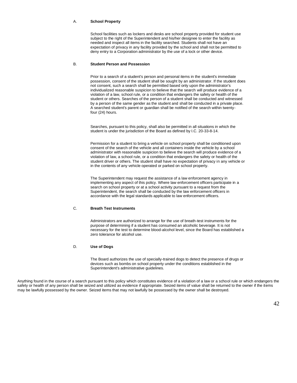#### A. **School Property**

School facilities such as lockers and desks are school property provided for student use subject to the right of the Superintendent and his/her designee to enter the facility as needed and inspect all items in the facility searched. Students shall not have an expectation of privacy in any facility provided by the school and shall not be permitted to deny entry to a Corporation administrator by the use of a lock or other device.

#### B. **Student Person and Possession**

Prior to a search of a student's person and personal items in the student's immediate possession, consent of the student shall be sought by an administrator. If the student does not consent, such a search shall be permitted based only upon the administrator's individualized reasonable suspicion to believe that the search will produce evidence of a violation of a law, school rule, or a condition that endangers the safety or health of the student or others. Searches of the person of a student shall be conducted and witnessed by a person of the same gender as the student and shall be conducted in a private place. A searched student's parent or guardian shall be notified of the search within twentyfour (24) hours.

Searches, pursuant to this policy, shall also be permitted in all situations in which the student is under the jurisdiction of the Board as defined by I.C. 20-33-8-14.

Permission for a student to bring a vehicle on school property shall be conditioned upon consent of the search of the vehicle and all containers inside the vehicle by a school administrator with reasonable suspicion to believe the search will produce evidence of a violation of law, a school rule, or a condition that endangers the safety or health of the student driver or others. The student shall have no expectation of privacy in any vehicle or in the contents of any vehicle operated or parked on school property.

The Superintendent may request the assistance of a law enforcement agency in implementing any aspect of this policy. Where law enforcement officers participate in a search on school property or at a school activity pursuant to a request from the Superintendent, the search shall be conducted by the law enforcement officers in accordance with the legal standards applicable to law enforcement officers.

#### C. **Breath Test Instruments**

Administrators are authorized to arrange for the use of breath-test instruments for the purpose of determining if a student has consumed an alcoholic beverage. It is not necessary for the test to determine blood-alcohol level, since the Board has established a zero tolerance for alcohol use.

#### D. **Use of Dogs**

The Board authorizes the use of specially-trained dogs to detect the presence of drugs or devices such as bombs on school property under the conditions established in the Superintendent's administrative guidelines.

Anything found in the course of a search pursuant to this policy which constitutes evidence of a violation of a law or a school rule or which endangers the safety or health of any person shall be seized and utilized as evidence if appropriate. Seized items of value shall be returned to the owner if the items may be lawfully possessed by the owner. Seized items that may not lawfully be possessed by the owner shall be destroyed.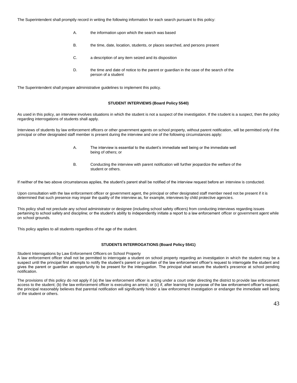The Superintendent shall promptly record in writing the following information for each search pursuant to this policy:

- A. the information upon which the search was based
- B. the time, date, location, students, or places searched, and persons present
- C. a description of any item seized and its disposition
- D. the time and date of notice to the parent or guardian in the case of the search of the person of a student

The Superintendent shall prepare administrative guidelines to implement this policy.

#### **STUDENT INTERVIEWS (Board Policy 5540)**

As used in this policy, an interview involves situations in which the student is not a suspect of the investigation. If the student is a suspect, then the policy regarding interrogations of students shall apply.

Interviews of students by law enforcement officers or other government agents on school property, without parent notification, will be permitted only if the principal or other designated staff member is present during the interview and one of the following circumstances apply:

- A. The interview is essential to the student's immediate well being or the immediate well being of others; or
- B. Conducting the interview with parent notification will further jeopardize the welfare of the student or others.

If neither of the two above circumstances applies, the student's parent shall be notified of the interview request before an interview is conducted.

Upon consultation with the law enforcement officer or government agent, the principal or other designated staff member need not be present if it is determined that such presence may impair the quality of the interview as, for example, interviews by child protective agencies.

This policy shall not preclude any school administrator or designee (including school safety officers) from conducting interviews regarding issues pertaining to school safety and discipline; or the student's ability to independently initiate a report to a law enforcement officer or government agent while on school grounds.

This policy applies to all students regardless of the age of the student.

#### **STUDENTS INTERROGATIONS (Board Policy 5541)**

Student Interrogations by Law Enforcement Officers on School Property

A law enforcement officer shall not be permitted to interrogate a student on school property regarding an investigation in which the student may be a suspect until the principal first attempts to notify the student's parent or guardian of the law enforcement officer's request to interrogate the student and gives the parent or guardian an opportunity to be present for the interrogation. The principal shall secure the student's presence at school pending notification.

The provisions of this policy do not apply if (a) the law enforcement officer is acting under a court order directing the district to provide law enforcement access to the student; (b) the law enforcement officer is executing an arrest; or (c) if, after learning the purpose of the law enforcement officer's request, the principal reasonably believes that parental notification will significantly hinder a law enforcement investigation or endanger the immediate well being of the student or others.